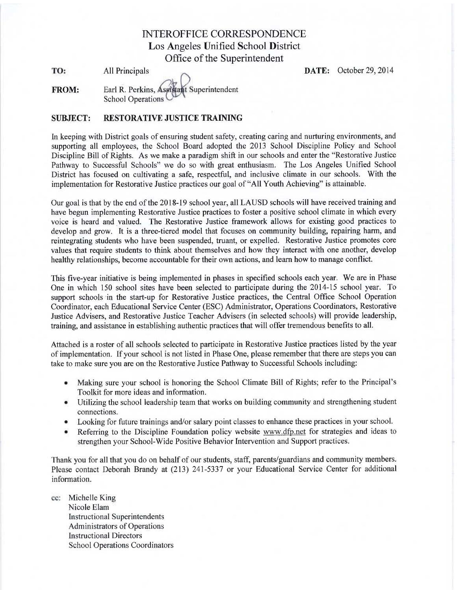# **INTEROFFICE CORRESPONDENCE** Los Angeles Unified School District Office of the Superintendent

TO: **All Principals**  **DATE:** October 29, 2014

tant Superintendent **FROM:** Earl R. Perkins, Asy **School Operations** 

### **SUBJECT: RESTORATIVE JUSTICE TRAINING**

In keeping with District goals of ensuring student safety, creating caring and nurturing environments, and supporting all employees, the School Board adopted the 2013 School Discipline Policy and School Discipline Bill of Rights. As we make a paradigm shift in our schools and enter the "Restorative Justice" Pathway to Successful Schools" we do so with great enthusiasm. The Los Angeles Unified School District has focused on cultivating a safe, respectful, and inclusive climate in our schools. With the implementation for Restorative Justice practices our goal of "All Youth Achieving" is attainable.

Our goal is that by the end of the 2018-19 school year, all LAUSD schools will have received training and have begun implementing Restorative Justice practices to foster a positive school climate in which every voice is heard and valued. The Restorative Justice framework allows for existing good practices to develop and grow. It is a three-tiered model that focuses on community building, repairing harm, and reintegrating students who have been suspended, truant, or expelled. Restorative Justice promotes core values that require students to think about themselves and how they interact with one another, develop healthy relationships, become accountable for their own actions, and learn how to manage conflict.

This five-year initiative is being implemented in phases in specified schools each year. We are in Phase One in which 150 school sites have been selected to participate during the 2014-15 school year. To support schools in the start-up for Restorative Justice practices, the Central Office School Operation Coordinator, each Educational Service Center (ESC) Administrator, Operations Coordinators, Restorative Justice Advisers, and Restorative Justice Teacher Advisers (in selected schools) will provide leadership, training, and assistance in establishing authentic practices that will offer tremendous benefits to all.

Attached is a roster of all schools selected to participate in Restorative Justice practices listed by the year of implementation. If your school is not listed in Phase One, please remember that there are steps you can take to make sure you are on the Restorative Justice Pathway to Successful Schools including:

- Making sure your school is honoring the School Climate Bill of Rights; refer to the Principal's ۰ Toolkit for more ideas and information.
- Utilizing the school leadership team that works on building community and strengthening student ۰ connections.
- Looking for future trainings and/or salary point classes to enhance these practices in your school. ۰
- Referring to the Discipline Foundation policy website www.dfp.net for strategies and ideas to strengthen your School-Wide Positive Behavior Intervention and Support practices.

Thank you for all that you do on behalf of our students, staff, parents/guardians and community members. Please contact Deborah Brandy at (213) 241-5337 or your Educational Service Center for additional information.

cc: Michelle King Nicole Elam **Instructional Superintendents Administrators of Operations Instructional Directors School Operations Coordinators**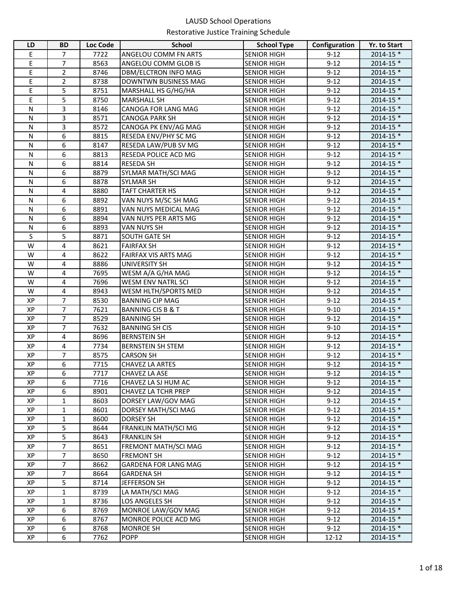| LD           | <b>BD</b>      | Loc Code | <b>School</b>                            | <b>School Type</b> | Configuration        | Yr. to Start           |
|--------------|----------------|----------|------------------------------------------|--------------------|----------------------|------------------------|
| Е            | 7              | 7722     | ANGELOU COMM FN ARTS                     | <b>SENIOR HIGH</b> | $9-12$               | 2014-15 *              |
| E            | $\overline{7}$ | 8563     | ANGELOU COMM GLOB IS                     | <b>SENIOR HIGH</b> | $9 - 12$             | 2014-15 *              |
| E            | $\overline{2}$ | 8746     | DBM/ELCTRON INFO MAG                     | <b>SENIOR HIGH</b> | $9 - 12$             | 2014-15 *              |
| E            | 2              | 8738     | DOWNTWN BUSINESS MAG                     | <b>SENIOR HIGH</b> | $9 - 12$             | 2014-15 *              |
| Е            | 5              | 8751     | MARSHALL HS G/HG/HA                      | <b>SENIOR HIGH</b> | $9 - 12$             | 2014-15 *              |
| E            | 5              | 8750     | <b>MARSHALL SH</b>                       | <b>SENIOR HIGH</b> | $9 - 12$             | 2014-15 *              |
| ${\sf N}$    | 3              | 8146     | CANOGA FOR LANG MAG                      | <b>SENIOR HIGH</b> | $9 - 12$             | 2014-15 *              |
| $\mathsf{N}$ | 3              | 8571     | <b>CANOGA PARK SH</b>                    | <b>SENIOR HIGH</b> | $9 - 12$             | 2014-15 *              |
| N            | 3              | 8572     | CANOGA PK ENV/AG MAG                     | <b>SENIOR HIGH</b> | $9 - 12$             | 2014-15 *              |
| ${\sf N}$    | 6              | 8815     | RESEDA ENV/PHY SC MG                     | <b>SENIOR HIGH</b> | $9 - 12$             | 2014-15 *              |
| ${\sf N}$    | 6              | 8147     | RESEDA LAW/PUB SV MG                     | <b>SENIOR HIGH</b> | $9 - 12$             | 2014-15 *              |
| N            | 6              | 8813     | RESEDA POLICE ACD MG                     | <b>SENIOR HIGH</b> | $9 - 12$             | 2014-15 *              |
| N            | 6              | 8814     | <b>RESEDA SH</b>                         | <b>SENIOR HIGH</b> | $9 - 12$             | 2014-15 *              |
| N            | 6              | 8879     | SYLMAR MATH/SCI MAG                      | <b>SENIOR HIGH</b> | $9 - 12$             | 2014-15 *              |
| N            | 6              | 8878     | <b>SYLMAR SH</b>                         | <b>SENIOR HIGH</b> | $9 - 12$             | 2014-15 *              |
| N            | 4              | 8880     | <b>TAFT CHARTER HS</b>                   | <b>SENIOR HIGH</b> | $9 - 12$             | 2014-15 *              |
| N            | 6              | 8892     | VAN NUYS M/SC SH MAG                     | <b>SENIOR HIGH</b> | $9 - 12$             | 2014-15 *              |
| N            | 6              | 8891     | VAN NUYS MEDICAL MAG                     | <b>SENIOR HIGH</b> | $9 - 12$             | 2014-15 *              |
| N            | 6              | 8894     | VAN NUYS PER ARTS MG                     | <b>SENIOR HIGH</b> | $9 - 12$             | 2014-15 *              |
| ${\sf N}$    | 6              | 8893     | VAN NUYS SH                              | <b>SENIOR HIGH</b> | $9 - 12$             | 2014-15 *              |
| S            | 5              | 8871     | SOUTH GATE SH                            | <b>SENIOR HIGH</b> | $9 - 12$             | 2014-15 *              |
| W            | 4              | 8621     | <b>FAIRFAX SH</b>                        | <b>SENIOR HIGH</b> | $9 - 12$             | 2014-15 *              |
| W            | 4              | 8622     | <b>FAIRFAX VIS ARTS MAG</b>              | <b>SENIOR HIGH</b> | $9 - 12$             | 2014-15 *              |
| W            | 4              | 8886     | <b>UNIVERSITY SH</b>                     | <b>SENIOR HIGH</b> | $9 - 12$             | 2014-15 *              |
| W            | 4              | 7695     | WESM A/A G/HA MAG                        | <b>SENIOR HIGH</b> | $9-12$               | 2014-15 *              |
| W            | 4              | 7696     | <b>WESM ENV NATRL SCI</b>                | <b>SENIOR HIGH</b> | $9 - 12$             | 2014-15 *              |
| W            | 4              | 8943     | WESM HLTH/SPORTS MED                     | <b>SENIOR HIGH</b> | $9 - 12$             | 2014-15 *              |
| XP           | 7              | 8530     | <b>BANNING CIP MAG</b>                   | <b>SENIOR HIGH</b> | $9 - 12$             | 2014-15 *              |
| XP           | 7              | 7621     | <b>BANNING CIS B &amp; T</b>             | <b>SENIOR HIGH</b> | $9 - 10$             | 2014-15 *              |
| XP           | $\overline{7}$ | 8529     | <b>BANNING SH</b>                        | <b>SENIOR HIGH</b> | $9 - 12$             | 2014-15 *              |
| XP           | 7              | 7632     | <b>BANNING SH CIS</b>                    | <b>SENIOR HIGH</b> | $9 - 10$             | 2014-15 *              |
| XP           | 4              | 8696     | <b>BERNSTEIN SH</b>                      | <b>SENIOR HIGH</b> | $9 - 12$             | 2014-15 *              |
| XP           | 4              | 7734     | <b>BERNSTEIN SH STEM</b>                 | <b>SENIOR HIGH</b> | $9 - 12$             | 2014-15 *              |
| XP           | 7              | 8575     | <b>CARSON SH</b>                         | <b>SENIOR HIGH</b> | $9 - 12$             | 2014-15 *              |
| XP           | 6              | 7715     | CHAVEZ LA ARTES                          | <b>SENIOR HIGH</b> | $9 - 12$             | 2014-15 *              |
| XP           | 6              | 7717     | <b>CHAVEZ LA ASE</b>                     | <b>SENIOR HIGH</b> | $9 - 12$             | 2014-15 *              |
| XP           | 6              | 7716     | CHAVEZ LA SJ HUM AC                      | <b>SENIOR HIGH</b> | $9 - 12$             | $2014 - 15$ *          |
| XP           | 6              | 8901     | <b>CHAVEZ LA TCHR PREP</b>               | <b>SENIOR HIGH</b> | $9 - 12$             | 2014-15 *              |
| XP           | 1              | 8603     | DORSEY LAW/GOV MAG                       | <b>SENIOR HIGH</b> | $9 - 12$             | 2014-15 *              |
| XP           | 1              | 8601     | DORSEY MATH/SCI MAG                      | <b>SENIOR HIGH</b> | $9 - 12$             | 2014-15 *              |
| XP           | 1              | 8600     | DORSEY SH                                | <b>SENIOR HIGH</b> | $9 - 12$             | 2014-15 *              |
| XP           | 5              | 8644     | <b>FRANKLIN MATH/SCI MG</b>              | <b>SENIOR HIGH</b> | $9 - 12$             | 2014-15 *              |
| XP           | 5              | 8643     | <b>FRANKLIN SH</b>                       | <b>SENIOR HIGH</b> | $9 - 12$             | 2014-15 *              |
| XP           | 7              | 8651     | FREMONT MATH/SCI MAG                     | <b>SENIOR HIGH</b> | $9 - 12$             | 2014-15 *              |
| XP           | $\overline{7}$ | 8650     | <b>FREMONT SH</b>                        | <b>SENIOR HIGH</b> | $9 - 12$             | 2014-15 *              |
| XP           | $\overline{7}$ | 8662     | <b>GARDENA FOR LANG MAG</b>              | <b>SENIOR HIGH</b> | $9 - 12$             | 2014-15 *              |
| XP           | $\overline{7}$ | 8664     | <b>GARDENA SH</b>                        | <b>SENIOR HIGH</b> | $9 - 12$             | 2014-15 *              |
| XP           | 5              | 8714     | JEFFERSON SH                             | <b>SENIOR HIGH</b> | $9 - 12$             | 2014-15 *              |
| XP           | $\mathbf{1}$   | 8739     | LA MATH/SCI MAG                          | <b>SENIOR HIGH</b> | $9 - 12$             | 2014-15 *              |
| XP           | 1<br>6         | 8736     | LOS ANGELES SH                           | <b>SENIOR HIGH</b> | $9 - 12$             | 2014-15 *              |
| XP           |                | 8769     | MONROE LAW/GOV MAG                       | <b>SENIOR HIGH</b> | $9 - 12$             | 2014-15 *              |
| XP<br>XP     | 6              | 8767     | MONROE POLICE ACD MG<br><b>MONROE SH</b> | <b>SENIOR HIGH</b> | $9 - 12$<br>$9 - 12$ | 2014-15 *<br>2014-15 * |
|              | 6<br>6         | 8768     |                                          | <b>SENIOR HIGH</b> |                      |                        |
| XP           |                | 7762     | <b>POPP</b>                              | <b>SENIOR HIGH</b> | $12 - 12$            | 2014-15 *              |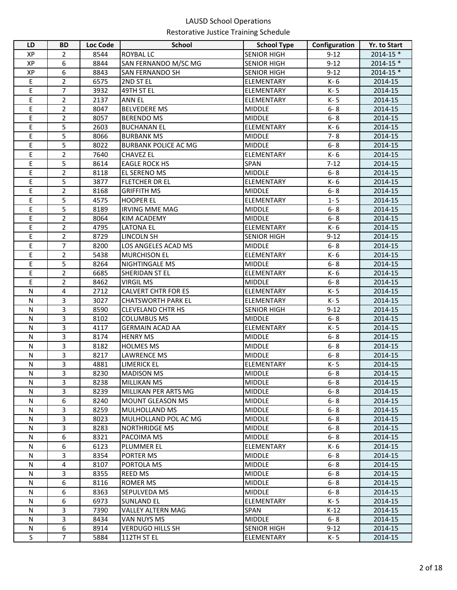| LD          | <b>BD</b>      | Loc Code     | <b>School</b>                                   | <b>School Type</b>             | Configuration      | Yr. to Start       |
|-------------|----------------|--------------|-------------------------------------------------|--------------------------------|--------------------|--------------------|
| XP          | 2              | 8544         | <b>ROYBAL LC</b>                                | <b>SENIOR HIGH</b>             | $9 - 12$           | $2014 - 15$ *      |
| XP          | 6              | 8844         | SAN FERNANDO M/SC MG                            | <b>SENIOR HIGH</b>             | $9 - 12$           | $2014 - 15$ *      |
| XP          | 6              | 8843         | <b>SAN FERNANDO SH</b>                          | <b>SENIOR HIGH</b>             | $9 - 12$           | $2014 - 15$ *      |
| Ε           | $\overline{2}$ | 6575         | 2ND ST EL                                       | ELEMENTARY                     | K-6                | 2014-15            |
| Ε           | $\overline{7}$ | 3932         | 49TH ST EL                                      | ELEMENTARY                     | K-5                | 2014-15            |
| E           | $\overline{2}$ | 2137         | <b>ANN EL</b>                                   | ELEMENTARY                     | K-5                | 2014-15            |
| E           | $\overline{2}$ | 8047         | <b>BELVEDERE MS</b>                             | <b>MIDDLE</b>                  | $6 - 8$            | 2014-15            |
| E           | $\overline{2}$ | 8057         | <b>BERENDO MS</b>                               | <b>MIDDLE</b>                  | $6 - 8$            | 2014-15            |
| Ε           | 5              | 2603         | <b>BUCHANAN EL</b>                              | ELEMENTARY                     | K-6                | 2014-15            |
| E           | 5              | 8066         | <b>BURBANK MS</b>                               | <b>MIDDLE</b>                  | $7 - 8$            | 2014-15            |
| E           | 5              | 8022         | <b>BURBANK POLICE AC MG</b>                     | <b>MIDDLE</b>                  | $6 - 8$            | 2014-15            |
| E           | $\overline{2}$ | 7640         | <b>CHAVEZ EL</b>                                | ELEMENTARY                     | K- 6               | 2014-15            |
| Ε           | 5              | 8614         | <b>EAGLE ROCK HS</b>                            | SPAN                           | $7 - 12$           | 2014-15            |
| E           | $\overline{2}$ | 8118         | <b>EL SERENO MS</b>                             | <b>MIDDLE</b>                  | $6 - 8$            | 2014-15            |
| E           | 5              | 3877         | <b>FLETCHER DR EL</b>                           | ELEMENTARY                     | K- 6               | 2014-15            |
| E           | $\overline{2}$ | 8168         | <b>GRIFFITH MS</b>                              | <b>MIDDLE</b>                  | $6 - 8$            | 2014-15            |
| E           | 5              | 4575         | <b>HOOPER EL</b>                                | ELEMENTARY                     | $1 - 5$            | 2014-15            |
| E           | 5              | 8189         | <b>IRVING MME MAG</b>                           | <b>MIDDLE</b>                  | $6 - 8$            | 2014-15            |
| E           | $\overline{2}$ | 8064         | <b>KIM ACADEMY</b>                              | <b>MIDDLE</b>                  | $6 - 8$            | 2014-15            |
| E           | $\overline{2}$ | 4795         | <b>LATONA EL</b>                                | ELEMENTARY                     | K-6                | 2014-15            |
| E           | $\overline{2}$ | 8729         | <b>LINCOLN SH</b>                               | <b>SENIOR HIGH</b>             | $9 - 12$           | 2014-15            |
| E           | $\overline{7}$ | 8200         | LOS ANGELES ACAD MS                             | <b>MIDDLE</b>                  | $6 - 8$            | 2014-15            |
| E           | 2              | 5438         | <b>MURCHISON EL</b>                             | ELEMENTARY                     | K-6                | 2014-15            |
| E           | 5              | 8264         | NIGHTINGALE MS                                  | <b>MIDDLE</b>                  | $6 - 8$            | 2014-15            |
| E           | $\overline{2}$ | 6685         | SHERIDAN ST EL                                  | ELEMENTARY                     | K- 6               | 2014-15            |
| E           | $\overline{2}$ | 8462         | <b>VIRGIL MS</b>                                | <b>MIDDLE</b>                  | $6 - 8$            | 2014-15            |
| ${\sf N}$   | 4              | 2712         | <b>CALVERT CHTR FOR ES</b>                      | ELEMENTARY                     | K-5                | 2014-15            |
| ${\sf N}$   | 3              | 3027         | <b>CHATSWORTH PARK EL</b>                       | ELEMENTARY                     | K-5                | 2014-15            |
| ${\sf N}$   | 3              | 8590         | <b>CLEVELAND CHTR HS</b>                        | <b>SENIOR HIGH</b>             | $9 - 12$           | 2014-15            |
| N           | 3              | 8102         | <b>COLUMBUS MS</b>                              | <b>MIDDLE</b>                  | $6 - 8$            | 2014-15            |
| N           | 3              | 4117         | <b>GERMAIN ACAD AA</b>                          | ELEMENTARY                     | K-5                | 2014-15            |
| N           | 3              | 8174         | <b>HENRY MS</b>                                 | <b>MIDDLE</b>                  | $6 - 8$            | 2014-15            |
| ${\sf N}$   | 3              | 8182         | <b>HOLMES MS</b>                                | <b>MIDDLE</b>                  | $6 - 8$            | 2014-15            |
| N           | 3              | 8217         | <b>LAWRENCE MS</b>                              | <b>MIDDLE</b>                  | $6 - 8$            | 2014-15            |
| ${\sf N}$   | 3              | 4881         | <b>LIMERICK EL</b>                              | ELEMENTARY                     | K-5                | 2014-15            |
| ${\sf N}$   | 3              | 8230         | <b>MADISON MS</b>                               | <b>MIDDLE</b>                  | $6 - 8$            | 2014-15            |
| N           | 3              | 8238         | <b>MILLIKAN MS</b>                              | <b>MIDDLE</b><br><b>MIDDLE</b> | $6 - 8$            | 2014-15            |
| N<br>N      | 3<br>6         | 8239         | MILLIKAN PER ARTS MG<br><b>MOUNT GLEASON MS</b> | <b>MIDDLE</b>                  | $6 - 8$<br>$6 - 8$ | 2014-15<br>2014-15 |
|             |                | 8240         |                                                 |                                |                    |                    |
| N<br>N      | 3<br>3         | 8259<br>8023 | <b>MULHOLLAND MS</b><br>MULHOLLAND POL AC MG    | <b>MIDDLE</b><br><b>MIDDLE</b> | $6 - 8$<br>$6 - 8$ | 2014-15<br>2014-15 |
| N           | 3              | 8283         | <b>NORTHRIDGE MS</b>                            | <b>MIDDLE</b>                  | $6 - 8$            | 2014-15            |
| N           | 6              | 8321         | PACOIMA MS                                      | <b>MIDDLE</b>                  | $6 - 8$            | 2014-15            |
| N           | 6              | 6123         | <b>PLUMMER EL</b>                               | ELEMENTARY                     | K- 6               | 2014-15            |
| N           | 3              | 8354         | PORTER MS                                       | <b>MIDDLE</b>                  | $6 - 8$            | 2014-15            |
| N           | 4              | 8107         | PORTOLA MS                                      | <b>MIDDLE</b>                  | $6 - 8$            | 2014-15            |
| ${\sf N}$   | 3              | 8355         | <b>REED MS</b>                                  | <b>MIDDLE</b>                  | $6 - 8$            | 2014-15            |
| N           | 6              | 8116         | ROMER MS                                        | <b>MIDDLE</b>                  | $6 - 8$            | 2014-15            |
| N           | 6              | 8363         | SEPULVEDA MS                                    | <b>MIDDLE</b>                  | $6 - 8$            | 2014-15            |
| N           | 6              | 6973         | <b>SUNLAND EL</b>                               | ELEMENTARY                     | K-5                | 2014-15            |
| N           | 3              | 7390         | VALLEY ALTERN MAG                               | <b>SPAN</b>                    | $K-12$             | 2014-15            |
| N           | 3              | 8434         | VAN NUYS MS                                     | <b>MIDDLE</b>                  | $6 - 8$            | 2014-15            |
| ${\sf N}$   | 6              | 8914         | <b>VERDUGO HILLS SH</b>                         | <b>SENIOR HIGH</b>             | $9 - 12$           | 2014-15            |
| $\mathsf S$ | $\overline{7}$ | 5884         | 112TH ST EL                                     | ELEMENTARY                     | K-5                | 2014-15            |
|             |                |              |                                                 |                                |                    |                    |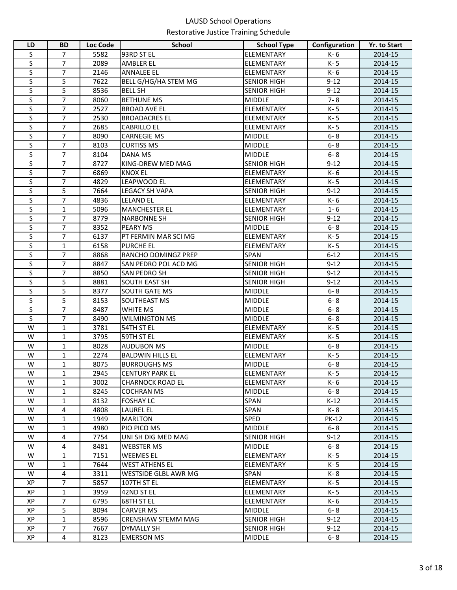| LD        | <b>BD</b>      | <b>Loc Code</b> | <b>School</b>           | <b>School Type</b> | Configuration | Yr. to Start |
|-----------|----------------|-----------------|-------------------------|--------------------|---------------|--------------|
| S         | $\overline{7}$ | 5582            | 93RD ST EL              | ELEMENTARY         | K-6           | 2014-15      |
| S         | 7              | 2089            | <b>AMBLER EL</b>        | <b>ELEMENTARY</b>  | K-5           | 2014-15      |
| S         | $\overline{7}$ | 2146            | <b>ANNALEE EL</b>       | <b>ELEMENTARY</b>  | K-6           | 2014-15      |
| S         | 5              | 7622            | BELL G/HG/HA STEM MG    | <b>SENIOR HIGH</b> | $9 - 12$      | 2014-15      |
| S         | 5              | 8536            | <b>BELL SH</b>          | <b>SENIOR HIGH</b> | $9 - 12$      | 2014-15      |
| S         | $\overline{7}$ | 8060            | <b>BETHUNE MS</b>       | <b>MIDDLE</b>      | $7 - 8$       | 2014-15      |
| S         | $\overline{7}$ | 2527            | <b>BROAD AVE EL</b>     | ELEMENTARY         | K-5           | 2014-15      |
| S         | $\overline{7}$ | 2530            | <b>BROADACRES EL</b>    | <b>ELEMENTARY</b>  | K-5           | 2014-15      |
| S         | $\overline{7}$ | 2685            | <b>CABRILLO EL</b>      | <b>ELEMENTARY</b>  | K-5           | 2014-15      |
| S         | $\overline{7}$ | 8090            | <b>CARNEGIE MS</b>      | <b>MIDDLE</b>      | $6 - 8$       | 2014-15      |
| S         | $\overline{7}$ | 8103            | <b>CURTISS MS</b>       | <b>MIDDLE</b>      | $6 - 8$       | 2014-15      |
| S         | $\overline{7}$ | 8104            | DANA MS                 | <b>MIDDLE</b>      | $6 - 8$       | 2014-15      |
| S         | $\overline{7}$ | 8727            | KING-DREW MED MAG       | <b>SENIOR HIGH</b> | $9 - 12$      | 2014-15      |
| S         | $\overline{7}$ | 6869            | <b>KNOX EL</b>          | <b>ELEMENTARY</b>  | K-6           | 2014-15      |
| S         | $\overline{7}$ | 4829            | LEAPWOOD EL             | <b>ELEMENTARY</b>  | K-5           | 2014-15      |
| S         | 5              | 7664            | <b>LEGACY SH VAPA</b>   | <b>SENIOR HIGH</b> | $9 - 12$      | 2014-15      |
| S         | $\overline{7}$ | 4836            | <b>LELAND EL</b>        | <b>ELEMENTARY</b>  | K-6           | 2014-15      |
| S         | $\mathbf{1}$   | 5096            | <b>MANCHESTER EL</b>    | ELEMENTARY         | $1 - 6$       | 2014-15      |
| S         | $\overline{7}$ | 8779            | <b>NARBONNE SH</b>      | <b>SENIOR HIGH</b> | $9 - 12$      | 2014-15      |
| S         | $\overline{7}$ | 8352            | PEARY MS                | <b>MIDDLE</b>      | $6 - 8$       | 2014-15      |
| S         | $\overline{7}$ | 6137            | PT FERMIN MAR SCI MG    | ELEMENTARY         | K-5           | 2014-15      |
| S         | $\mathbf{1}$   | 6158            | <b>PURCHE EL</b>        | ELEMENTARY         | K-5           | 2014-15      |
| S         | $\overline{7}$ | 8868            | RANCHO DOMINGZ PREP     | SPAN               | $6 - 12$      | 2014-15      |
| S         | $\overline{7}$ | 8847            | SAN PEDRO POL ACD MG    | <b>SENIOR HIGH</b> | $9 - 12$      | 2014-15      |
| S         | $\overline{7}$ | 8850            | SAN PEDRO SH            | <b>SENIOR HIGH</b> | $9 - 12$      | 2014-15      |
| S         | 5              | 8881            | SOUTH EAST SH           | <b>SENIOR HIGH</b> | $9 - 12$      | 2014-15      |
| S         | 5              | 8377            | SOUTH GATE MS           | <b>MIDDLE</b>      | $6 - 8$       | 2014-15      |
| S         | $\overline{5}$ | 8153            | SOUTHEAST MS            | <b>MIDDLE</b>      | $6 - 8$       | 2014-15      |
| S         | $\overline{7}$ | 8487            | <b>WHITE MS</b>         | <b>MIDDLE</b>      | $6 - 8$       | 2014-15      |
| S         | $\overline{7}$ | 8490            | <b>WILMINGTON MS</b>    | <b>MIDDLE</b>      | $6 - 8$       | 2014-15      |
| W         | $\mathbf 1$    | 3781            | 54TH ST EL              | <b>ELEMENTARY</b>  | K-5           | 2014-15      |
| W         | $\mathbf{1}$   | 3795            | 59TH ST EL              | <b>ELEMENTARY</b>  | K-5           | 2014-15      |
| W         | $\mathbf 1$    | 8028            | <b>AUDUBON MS</b>       | <b>MIDDLE</b>      | $6 - 8$       | 2014-15      |
| W         | $\mathbf{1}$   | 2274            | <b>BALDWIN HILLS EL</b> | <b>ELEMENTARY</b>  | K-5           | 2014-15      |
| W         | $\mathbf{1}$   | 8075            | <b>BURROUGHS MS</b>     | <b>MIDDLE</b>      | $6 - 8$       | 2014-15      |
| ${\sf W}$ | $\mathbf 1$    | 2945            | <b>CENTURY PARK EL</b>  | ELEMENTARY         | $K - 5$       | 2014-15      |
| w         | $\mathbf{1}$   | 3002            | <b>CHARNOCK ROAD EL</b> | <b>ELEMENTARY</b>  | K- 6          | 2014-15      |
| W         | 1              | 8245            | <b>COCHRAN MS</b>       | <b>MIDDLE</b>      | $6 - 8$       | 2014-15      |
| W         | $\mathbf{1}$   | 8132            | <b>FOSHAY LC</b>        | <b>SPAN</b>        | $K-12$        | 2014-15      |
| W         | 4              | 4808            | LAUREL EL               | <b>SPAN</b>        | K-8           | 2014-15      |
| W         | $\mathbf{1}$   | 1949            | <b>MARLTON</b>          | <b>SPED</b>        | <b>PK-12</b>  | 2014-15      |
| W         | 1              | 4980            | PIO PICO MS             | <b>MIDDLE</b>      | $6 - 8$       | 2014-15      |
| W         | 4              | 7754            | UNI SH DIG MED MAG      | <b>SENIOR HIGH</b> | $9 - 12$      | 2014-15      |
| W         | 4              | 8481            | <b>WEBSTER MS</b>       | <b>MIDDLE</b>      | $6 - 8$       | 2014-15      |
| W         | $\mathbf{1}$   | 7151            | WEEMES EL               | <b>ELEMENTARY</b>  | K-5           | 2014-15      |
| W         | $\mathbf{1}$   | 7644            | <b>WEST ATHENS EL</b>   | <b>ELEMENTARY</b>  | K- 5          | 2014-15      |
| W         | 4              | 3311            | WESTSIDE GLBL AWR MG    | <b>SPAN</b>        | K-8           | 2014-15      |
| ХP        | 7              | 5857            | 107TH ST EL             | ELEMENTARY         | K-5           | 2014-15      |
| XP        | 1              | 3959            | 42ND ST EL              | ELEMENTARY         | K- 5          | 2014-15      |
| XP        | $\overline{7}$ | 6795            | 68TH ST EL              | <b>ELEMENTARY</b>  | K- 6          | 2014-15      |
| XP        | 5              | 8094            | <b>CARVER MS</b>        | <b>MIDDLE</b>      | $6 - 8$       | 2014-15      |
| XP        | $\mathbf{1}$   | 8596            | CRENSHAW STEMM MAG      | <b>SENIOR HIGH</b> | $9 - 12$      | 2014-15      |
| XP        | $\overline{7}$ | 7667            | <b>DYMALLY SH</b>       | <b>SENIOR HIGH</b> | $9 - 12$      | 2014-15      |
| XP        | 4              | 8123            | <b>EMERSON MS</b>       | <b>MIDDLE</b>      | $6 - 8$       | 2014-15      |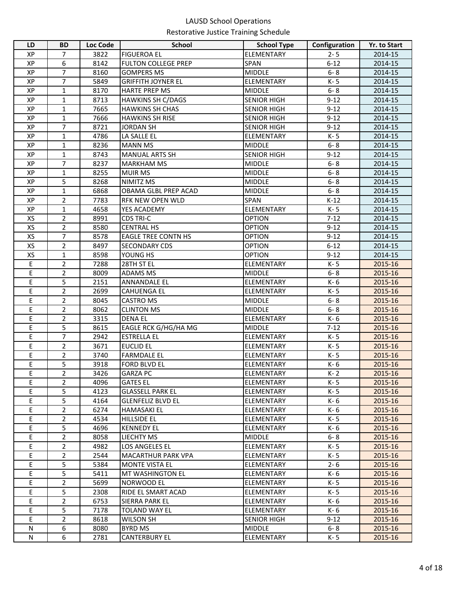| LD        | <b>BD</b>      | <b>Loc Code</b> | <b>School</b>              | <b>School Type</b> | Configuration | Yr. to Start |
|-----------|----------------|-----------------|----------------------------|--------------------|---------------|--------------|
| XP        | 7              | 3822            | <b>FIGUEROA EL</b>         | ELEMENTARY         | $2 - 5$       | 2014-15      |
| XP        | 6              | 8142            | <b>FULTON COLLEGE PREP</b> | <b>SPAN</b>        | $6 - 12$      | 2014-15      |
| XP        | 7              | 8160            | <b>GOMPERS MS</b>          | <b>MIDDLE</b>      | $6 - 8$       | 2014-15      |
| XP        | 7              | 5849            | <b>GRIFFITH JOYNER EL</b>  | ELEMENTARY         | K-5           | 2014-15      |
| XP        | $\mathbf{1}$   | 8170            | HARTE PREP MS              | <b>MIDDLE</b>      | $6 - 8$       | 2014-15      |
| XP        | $\mathbf{1}$   | 8713            | <b>HAWKINS SH C/DAGS</b>   | <b>SENIOR HIGH</b> | $9 - 12$      | 2014-15      |
| <b>XP</b> | $\mathbf{1}$   | 7665            | <b>HAWKINS SH CHAS</b>     | <b>SENIOR HIGH</b> | $9 - 12$      | 2014-15      |
| XP        | $\mathbf{1}$   | 7666            | <b>HAWKINS SH RISE</b>     | <b>SENIOR HIGH</b> | $9 - 12$      | 2014-15      |
| <b>XP</b> | $\overline{7}$ | 8721            | <b>JORDAN SH</b>           | <b>SENIOR HIGH</b> | $9 - 12$      | 2014-15      |
| XP        | $\mathbf 1$    | 4786            | LA SALLE EL                | <b>ELEMENTARY</b>  | K-5           | 2014-15      |
| XP        | $\mathbf{1}$   | 8236            | <b>MANN MS</b>             | <b>MIDDLE</b>      | $6 - 8$       | 2014-15      |
| <b>XP</b> | $\mathbf{1}$   | 8743            | <b>MANUAL ARTS SH</b>      | <b>SENIOR HIGH</b> | $9 - 12$      | 2014-15      |
| <b>XP</b> | $\overline{7}$ | 8237            | <b>MARKHAM MS</b>          | <b>MIDDLE</b>      | $6 - 8$       | 2014-15      |
| XP        | $\mathbf{1}$   | 8255            | <b>MUIR MS</b>             | <b>MIDDLE</b>      | $6 - 8$       | 2014-15      |
| XP        | 5              | 8268            | NIMITZ MS                  | <b>MIDDLE</b>      | $6 - 8$       | 2014-15      |
| XP        | $\mathbf{1}$   | 6868            | OBAMA GLBL PREP ACAD       | <b>MIDDLE</b>      | $6 - 8$       | 2014-15      |
| XP        | $\overline{2}$ | 7783            | RFK NEW OPEN WLD           | <b>SPAN</b>        | $K-12$        | 2014-15      |
| XP        | $\mathbf{1}$   | 4658            | YES ACADEMY                | <b>ELEMENTARY</b>  | K-5           | 2014-15      |
| XS        | $\overline{2}$ | 8991            | <b>CDS TRI-C</b>           | <b>OPTION</b>      | $7 - 12$      | 2014-15      |
| XS        | $\overline{2}$ | 8580            | <b>CENTRAL HS</b>          | <b>OPTION</b>      | $9 - 12$      | 2014-15      |
| XS        | $\overline{7}$ | 8578            | <b>EAGLE TREE CONTN HS</b> | <b>OPTION</b>      | $9 - 12$      | 2014-15      |
| XS        | $\overline{2}$ | 8497            | <b>SECONDARY CDS</b>       | <b>OPTION</b>      | $6 - 12$      | 2014-15      |
| XS        | $\mathbf{1}$   | 8598            | YOUNG HS                   | <b>OPTION</b>      | $9 - 12$      | 2014-15      |
| Ε         | $\overline{2}$ | 7288            | 28TH ST EL                 | ELEMENTARY         | K-5           | 2015-16      |
| E         | $\overline{2}$ | 8009            | ADAMS MS                   | <b>MIDDLE</b>      | $6 - 8$       | 2015-16      |
| E         | 5              | 2151            | <b>ANNANDALE EL</b>        | ELEMENTARY         | K-6           | 2015-16      |
| E         | $\overline{2}$ | 2699            | <b>CAHUENGA EL</b>         | <b>ELEMENTARY</b>  | K-5           | 2015-16      |
| E         | $\overline{2}$ | 8045            | <b>CASTRO MS</b>           | <b>MIDDLE</b>      | $6 - 8$       | 2015-16      |
| Ε         | $\overline{2}$ | 8062            | <b>CLINTON MS</b>          | <b>MIDDLE</b>      | $6 - 8$       | 2015-16      |
| E         | $\overline{2}$ | 3315            | <b>DENA EL</b>             | <b>ELEMENTARY</b>  | K-6           | 2015-16      |
| E         | 5              | 8615            | EAGLE RCK G/HG/HA MG       | <b>MIDDLE</b>      | $7-12$        | 2015-16      |
| E         | $\overline{7}$ | 2942            | <b>ESTRELLA EL</b>         | <b>ELEMENTARY</b>  | K-5           | 2015-16      |
| E         | $\overline{2}$ | 3671            | <b>EUCLID EL</b>           | <b>ELEMENTARY</b>  | K-5           | 2015-16      |
| E         | $\overline{2}$ | 3740            | <b>FARMDALE EL</b>         | <b>ELEMENTARY</b>  | K-5           | 2015-16      |
| Ε         | 5              | 3918            | <b>FORD BLVD EL</b>        | <b>ELEMENTARY</b>  | K-6           | 2015-16      |
| E         | $\overline{c}$ | 3426            | <b>GARZA PC</b>            | <b>ELEMENTARY</b>  | $K-2$         | 2015-16      |
| E         | $\overline{2}$ | 4096            | <b>GATES EL</b>            | <b>ELEMENTARY</b>  | K-5           | 2015-16      |
| Ε         | 5              | 4123            | <b>GLASSELL PARK EL</b>    | <b>ELEMENTARY</b>  | K-5           | 2015-16      |
| E         | 5              | 4164            | <b>GLENFELIZ BLVD EL</b>   | <b>ELEMENTARY</b>  | K- 6          | 2015-16      |
| E         | $\overline{2}$ | 6274            | <b>HAMASAKI EL</b>         | <b>ELEMENTARY</b>  | K- 6          | 2015-16      |
| Е         | $\overline{2}$ | 4534            | <b>HILLSIDE EL</b>         | <b>ELEMENTARY</b>  | K- 5          | 2015-16      |
| E         | 5              | 4696            | <b>KENNEDY EL</b>          | <b>ELEMENTARY</b>  | K- 6          | 2015-16      |
| E         | $\overline{2}$ | 8058            | LIECHTY MS                 | <b>MIDDLE</b>      | $6 - 8$       | 2015-16      |
| E         | $\overline{2}$ | 4982            | LOS ANGELES EL             | <b>ELEMENTARY</b>  | K-5           | 2015-16      |
| E         | $\overline{2}$ | 2544            | <b>MACARTHUR PARK VPA</b>  | <b>ELEMENTARY</b>  | K- 5          | 2015-16      |
| E         | 5              | 5384            | <b>MONTE VISTA EL</b>      | <b>ELEMENTARY</b>  | $2 - 6$       | 2015-16      |
| E         | 5              | 5411            | MT WASHINGTON EL           | <b>ELEMENTARY</b>  | K- 6          | 2015-16      |
| E         | $\overline{2}$ | 5699            | NORWOOD EL                 | <b>ELEMENTARY</b>  | K-5           | 2015-16      |
| E         | 5              | 2308            | RIDE EL SMART ACAD         | <b>ELEMENTARY</b>  | K- 5          | 2015-16      |
| E         | $\overline{2}$ | 6753            | SIERRA PARK EL             | ELEMENTARY         | K- 6          | 2015-16      |
| E         | 5              | 7178            | <b>TOLAND WAY EL</b>       | ELEMENTARY         | K- 6          | 2015-16      |
| E         | $\overline{2}$ | 8618            | WILSON SH                  | <b>SENIOR HIGH</b> | $9 - 12$      | 2015-16      |
| N         | 6              | 8080            | BYRD MS                    | <b>MIDDLE</b>      | $6 - 8$       | 2015-16      |
| N         | 6              | 2781            | <b>CANTERBURY EL</b>       | ELEMENTARY         | K- 5          | 2015-16      |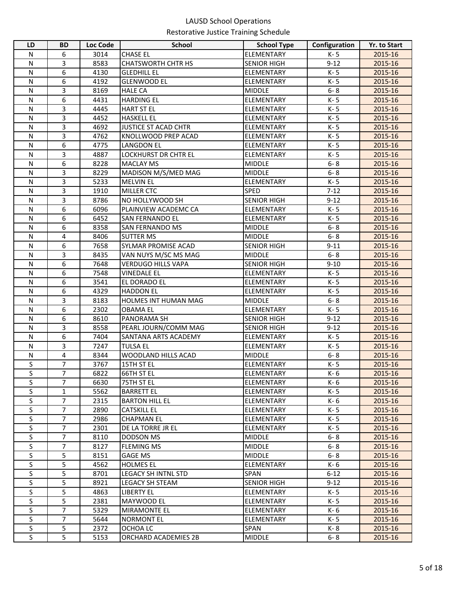| LD           | <b>BD</b>      | <b>Loc Code</b> | <b>School</b>               | <b>School Type</b> | Configuration | <b>Yr. to Start</b> |
|--------------|----------------|-----------------|-----------------------------|--------------------|---------------|---------------------|
| N            | 6              | 3014            | <b>CHASE EL</b>             | ELEMENTARY         | K-5           | 2015-16             |
| $\mathsf{N}$ | 3              | 8583            | <b>CHATSWORTH CHTR HS</b>   | <b>SENIOR HIGH</b> | $9 - 12$      | 2015-16             |
| N            | 6              | 4130            | <b>GLEDHILL EL</b>          | ELEMENTARY         | K-5           | 2015-16             |
| N            | 6              | 4192            | <b>GLENWOOD EL</b>          | ELEMENTARY         | K-5           | 2015-16             |
| N            | 3              | 8169            | <b>HALE CA</b>              | <b>MIDDLE</b>      | $6 - 8$       | 2015-16             |
| $\mathsf{N}$ | 6              | 4431            | <b>HARDING EL</b>           | ELEMENTARY         | K-5           | 2015-16             |
| $\mathsf{N}$ | 3              | 4445            | <b>HART ST EL</b>           | ELEMENTARY         | K-5           | 2015-16             |
| $\mathsf{N}$ | 3              | 4452            | <b>HASKELL EL</b>           | ELEMENTARY         | K-5           | 2015-16             |
| $\mathsf{N}$ | 3              | 4692            | <b>JUSTICE ST ACAD CHTR</b> | ELEMENTARY         | K-5           | 2015-16             |
| $\mathsf{N}$ | 3              | 4762            | KNOLLWOOD PREP ACAD         | ELEMENTARY         | K-5           | 2015-16             |
| N            | 6              | 4775            | <b>LANGDON EL</b>           | ELEMENTARY         | K-5           | 2015-16             |
| N            | $\overline{3}$ | 4887            | LOCKHURST DR CHTR EL        | ELEMENTARY         | K-5           | 2015-16             |
| N            | 6              | 8228            | <b>MACLAY MS</b>            | <b>MIDDLE</b>      | $6 - 8$       | 2015-16             |
| N            | 3              | 8229            | MADISON M/S/MED MAG         | <b>MIDDLE</b>      | $6 - 8$       | 2015-16             |
| N            | 3              | 5233            | <b>MELVIN EL</b>            | <b>ELEMENTARY</b>  | K-5           | 2015-16             |
| N            | 3              | 1910            | MILLER CTC                  | SPED               | $7 - 12$      | 2015-16             |
| N            | 3              | 8786            | NO HOLLYWOOD SH             | <b>SENIOR HIGH</b> | $9 - 12$      | 2015-16             |
| $\mathsf{N}$ | 6              | 6096            | PLAINVIEW ACADEMC CA        | ELEMENTARY         | K-5           | 2015-16             |
| $\mathsf{N}$ | 6              | 6452            | SAN FERNANDO EL             | ELEMENTARY         | K-5           | 2015-16             |
| $\mathsf{N}$ | 6              | 8358            | <b>SAN FERNANDO MS</b>      | <b>MIDDLE</b>      | $6 - 8$       | 2015-16             |
| N            | 4              | 8406            | <b>SUTTER MS</b>            | <b>MIDDLE</b>      | $6 - 8$       | 2015-16             |
| $\mathsf{N}$ | 6              | 7658            | SYLMAR PROMISE ACAD         | <b>SENIOR HIGH</b> | $9 - 11$      | 2015-16             |
| $\mathsf{N}$ | 3              | 8435            | VAN NUYS M/SC MS MAG        | <b>MIDDLE</b>      | $6 - 8$       | 2015-16             |
| $\mathsf{N}$ | 6              | 7648            | VERDUGO HILLS VAPA          | <b>SENIOR HIGH</b> | $9 - 10$      | 2015-16             |
| $\mathsf{N}$ | 6              | 7548            | <b>VINEDALE EL</b>          | ELEMENTARY         | K-5           | 2015-16             |
| N            | 6              | 3541            | EL DORADO EL                | ELEMENTARY         | K-5           | 2015-16             |
| $\mathsf{N}$ | 6              | 4329            | <b>HADDON EL</b>            | <b>ELEMENTARY</b>  | K-5           | 2015-16             |
| N            | 3              | 8183            | HOLMES INT HUMAN MAG        | <b>MIDDLE</b>      | $6 - 8$       | 2015-16             |
| N            | 6              | 2302            | <b>OBAMA EL</b>             | ELEMENTARY         | K-5           | 2015-16             |
| N            | 6              | 8610            | PANORAMA SH                 | <b>SENIOR HIGH</b> | $9 - 12$      | 2015-16             |
| N            | 3              | 8558            | PEARL JOURN/COMM MAG        | <b>SENIOR HIGH</b> | $9 - 12$      | 2015-16             |
| $\mathsf{N}$ | 6              | 7404            | SANTANA ARTS ACADEMY        | ELEMENTARY         | K-5           | 2015-16             |
| $\mathsf{N}$ | 3              | 7247            | <b>TULSA EL</b>             | ELEMENTARY         | K-5           | 2015-16             |
| $\mathsf{N}$ | 4              | 8344            | WOODLAND HILLS ACAD         | <b>MIDDLE</b>      | $6 - 8$       | 2015-16             |
| S            | $\overline{7}$ | 3767            | 15TH ST EL                  | ELEMENTARY         | K-5           | 2015-16             |
| S            | 7              | 6822            | 66TH ST EL                  | ELEMENTARY         | K- 6          | 2015-16             |
| <sub>S</sub> | $\overline{7}$ | 6630            | 75TH ST EL                  | ELEMENTARY         | K-6           | 2015-16             |
| S            | $\mathbf{1}$   | 5562            | <b>BARRETT EL</b>           | ELEMENTARY         | K-5           | 2015-16             |
| S            | $\overline{7}$ | 2315            | <b>BARTON HILL EL</b>       | ELEMENTARY         | K-6           | 2015-16             |
| $\sf S$      | $\overline{7}$ | 2890            | <b>CATSKILL EL</b>          | ELEMENTARY         | K-5           | 2015-16             |
| S            | $\overline{7}$ | 2986            | <b>CHAPMAN EL</b>           | ELEMENTARY         | K-5           | 2015-16             |
| S            | $\overline{7}$ | 2301            | DE LA TORRE JR EL           | ELEMENTARY         | K-5           | 2015-16             |
| S            | 7              | 8110            | <b>DODSON MS</b>            | <b>MIDDLE</b>      | $6 - 8$       | 2015-16             |
| $\sf S$      | $\overline{7}$ | 8127            | <b>FLEMING MS</b>           | <b>MIDDLE</b>      | $6 - 8$       | 2015-16             |
| S            | 5              | 8151            | <b>GAGE MS</b>              | <b>MIDDLE</b>      | $6 - 8$       | 2015-16             |
| S            | 5              | 4562            | <b>HOLMES EL</b>            | ELEMENTARY         | K- 6          | 2015-16             |
| $\sf S$      | 5              | 8701            | <b>LEGACY SH INTNL STD</b>  | <b>SPAN</b>        | $6 - 12$      | 2015-16             |
| S            | 5              | 8921            | <b>LEGACY SH STEAM</b>      | <b>SENIOR HIGH</b> | $9 - 12$      | 2015-16             |
| S            | 5              | 4863            | <b>LIBERTY EL</b>           | ELEMENTARY         | K-5           | 2015-16             |
| S<br>S       | 5              | 2381            | MAYWOOD EL                  | ELEMENTARY         | K-5           | 2015-16             |
|              | 7              | 5329            | <b>MIRAMONTE EL</b>         | ELEMENTARY         | K- 6          | 2015-16             |
| S<br>$\sf S$ | 7              | 5644            | <b>NORMONT EL</b>           | ELEMENTARY         | K-5           | 2015-16             |
|              | 5              | 2372            | OCHOA LC                    | <b>SPAN</b>        | K-8           | 2015-16             |
| S            | 5              | 5153            | ORCHARD ACADEMIES 2B        | <b>MIDDLE</b>      | $6 - 8$       | 2015-16             |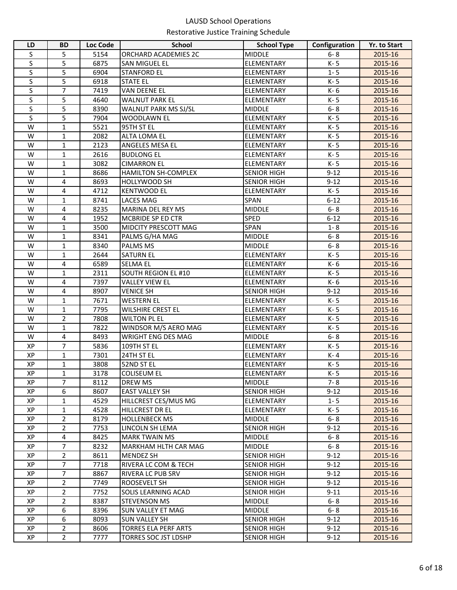| LD | <b>BD</b>      | <b>Loc Code</b> | <b>School</b>               | <b>School Type</b> | Configuration | Yr. to Start |
|----|----------------|-----------------|-----------------------------|--------------------|---------------|--------------|
| S  | 5              | 5154            | ORCHARD ACADEMIES 2C        | <b>MIDDLE</b>      | $6 - 8$       | 2015-16      |
| S  | 5              | 6875            | SAN MIGUEL EL               | <b>ELEMENTARY</b>  | K-5           | 2015-16      |
| S  | 5              | 6904            | <b>STANFORD EL</b>          | ELEMENTARY         | $1 - 5$       | 2015-16      |
| S  | 5              | 6918            | <b>STATE EL</b>             | ELEMENTARY         | K-5           | 2015-16      |
| S  | $\overline{7}$ | 7419            | VAN DEENE EL                | ELEMENTARY         | K-6           | 2015-16      |
| S  | 5              | 4640            | <b>WALNUT PARK EL</b>       | <b>ELEMENTARY</b>  | K-5           | 2015-16      |
| S  | 5              | 8390            | WALNUT PARK MS SJ/SL        | <b>MIDDLE</b>      | $6 - 8$       | 2015-16      |
| S  | 5              | 7904            | <b>WOODLAWN EL</b>          | <b>ELEMENTARY</b>  | K-5           | 2015-16      |
| W  | $\mathbf{1}$   | 5521            | 95TH ST EL                  | <b>ELEMENTARY</b>  | K-5           | 2015-16      |
| W  | $\mathbf 1$    | 2082            | <b>ALTA LOMA EL</b>         | <b>ELEMENTARY</b>  | K-5           | 2015-16      |
| W  | $\mathbf{1}$   | 2123            | ANGELES MESA EL             | <b>ELEMENTARY</b>  | K-5           | 2015-16      |
| W  | $\mathbf{1}$   | 2616            | <b>BUDLONG EL</b>           | <b>ELEMENTARY</b>  | K-5           | 2015-16      |
| W  | $\mathbf{1}$   | 3082            | <b>CIMARRON EL</b>          | <b>ELEMENTARY</b>  | K-5           | 2015-16      |
| W  | $\mathbf{1}$   | 8686            | <b>HAMILTON SH-COMPLEX</b>  | <b>SENIOR HIGH</b> | $9 - 12$      | 2015-16      |
| W  | 4              | 8693            | HOLLYWOOD SH                | <b>SENIOR HIGH</b> | $9 - 12$      | 2015-16      |
| W  | 4              | 4712            | <b>KENTWOOD EL</b>          | ELEMENTARY         | K-5           | 2015-16      |
| W  | $\mathbf{1}$   | 8741            | LACES MAG                   | <b>SPAN</b>        | $6 - 12$      | 2015-16      |
| W  | 4              | 8235            | MARINA DEL REY MS           | <b>MIDDLE</b>      | $6 - 8$       | 2015-16      |
| W  | 4              | 1952            | MCBRIDE SP ED CTR           | <b>SPED</b>        | $6 - 12$      | 2015-16      |
| W  | $\mathbf{1}$   | 3500            | MIDCITY PRESCOTT MAG        | SPAN               | $1 - 8$       | 2015-16      |
| W  | $\mathbf{1}$   | 8341            | PALMS G/HA MAG              | <b>MIDDLE</b>      | $6 - 8$       | 2015-16      |
| W  | $\mathbf{1}$   | 8340            | PALMS MS                    | <b>MIDDLE</b>      | $6 - 8$       | 2015-16      |
| W  | $\mathbf{1}$   | 2644            | <b>SATURN EL</b>            | ELEMENTARY         | K-5           | 2015-16      |
| W  | 4              | 6589            | <b>SELMA EL</b>             | ELEMENTARY         | K-6           | 2015-16      |
| W  | $\mathbf{1}$   | 2311            | SOUTH REGION EL #10         | ELEMENTARY         | K-5           | 2015-16      |
| W  | 4              | 7397            | <b>VALLEY VIEW EL</b>       | ELEMENTARY         | K-6           | 2015-16      |
| W  | 4              | 8907            | <b>VENICE SH</b>            | <b>SENIOR HIGH</b> | $9 - 12$      | 2015-16      |
| W  | $\mathbf{1}$   | 7671            | <b>WESTERN EL</b>           | ELEMENTARY         | K-5           | 2015-16      |
| W  | $\mathbf{1}$   | 7795            | WILSHIRE CREST EL           | ELEMENTARY         | K-5           | 2015-16      |
| W  | $\overline{2}$ | 7808            | <b>WILTON PL EL</b>         | <b>ELEMENTARY</b>  | K-5           | 2015-16      |
| W  | $\mathbf{1}$   | 7822            | WINDSOR M/S AERO MAG        | ELEMENTARY         | K-5           | 2015-16      |
| W  | 4              | 8493            | WRIGHT ENG DES MAG          | <b>MIDDLE</b>      | $6 - 8$       | 2015-16      |
| XP | 7              | 5836            | 109TH ST EL                 | ELEMENTARY         | K-5           | 2015-16      |
| XP | $\mathbf{1}$   | 7301            | 24TH ST EL                  | <b>ELEMENTARY</b>  | K-4           | 2015-16      |
| XP | 1              | 3808            | 52ND ST EL                  | <b>ELEMENTARY</b>  | K-5           | 2015-16      |
| XP | $\mathbf{1}$   | 3178            | <b>COLISEUM EL</b>          | ELEMENTARY         | K-5           | 2015-16      |
| XP | $\overline{7}$ | 8112            | DREW MS                     | <b>MIDDLE</b>      | 7-8           | 2015-16      |
| ХP | 6              | 8607            | EAST VALLEY SH              | <b>SENIOR HIGH</b> | $9-12$        | 2015-16      |
| XP | $\mathbf{1}$   | 4529            | HILLCREST CES/MUS MG        | <b>ELEMENTARY</b>  | $1 - 5$       | 2015-16      |
| ХP | $\mathbf{1}$   | 4528            | <b>HILLCREST DR EL</b>      | <b>ELEMENTARY</b>  | K-5           | 2015-16      |
| XP | $\overline{2}$ | 8179            | <b>HOLLENBECK MS</b>        | <b>MIDDLE</b>      | $6 - 8$       | 2015-16      |
| XP | $\overline{2}$ | 7753            | LINCOLN SH LEMA             | <b>SENIOR HIGH</b> | $9 - 12$      | 2015-16      |
| ХP | 4              | 8425            | <b>MARK TWAIN MS</b>        | <b>MIDDLE</b>      | $6 - 8$       | 2015-16      |
| XP | 7              | 8232            | MARKHAM HLTH CAR MAG        | <b>MIDDLE</b>      | $6 - 8$       | 2015-16      |
| XP | $\overline{2}$ | 8611            | <b>MENDEZ SH</b>            | <b>SENIOR HIGH</b> | $9 - 12$      | 2015-16      |
| XP | $\overline{7}$ | 7718            | RIVERA LC COM & TECH        | <b>SENIOR HIGH</b> | $9 - 12$      | 2015-16      |
| XP | 7              | 8867            | RIVERA LC PUB SRV           | <b>SENIOR HIGH</b> | $9 - 12$      | 2015-16      |
| XP | $\overline{2}$ | 7749            | ROOSEVELT SH                | <b>SENIOR HIGH</b> | $9 - 12$      | 2015-16      |
| XP | $\overline{2}$ | 7752            | SOLIS LEARNING ACAD         | <b>SENIOR HIGH</b> | $9 - 11$      | 2015-16      |
| XP | $\overline{2}$ | 8387            | <b>STEVENSON MS</b>         | MIDDLE             | $6 - 8$       | 2015-16      |
| ХP | 6              | 8396            | <b>SUN VALLEY ET MAG</b>    | <b>MIDDLE</b>      | $6 - 8$       | 2015-16      |
| XP | 6              | 8093            | <b>SUN VALLEY SH</b>        | <b>SENIOR HIGH</b> | $9 - 12$      | 2015-16      |
| XP | $\overline{2}$ | 8606            | <b>TORRES ELA PERF ARTS</b> | <b>SENIOR HIGH</b> | $9 - 12$      | 2015-16      |
| ХP | $\overline{2}$ | 7777            | TORRES SOC JST LDSHP        | <b>SENIOR HIGH</b> | $9-12$        | 2015-16      |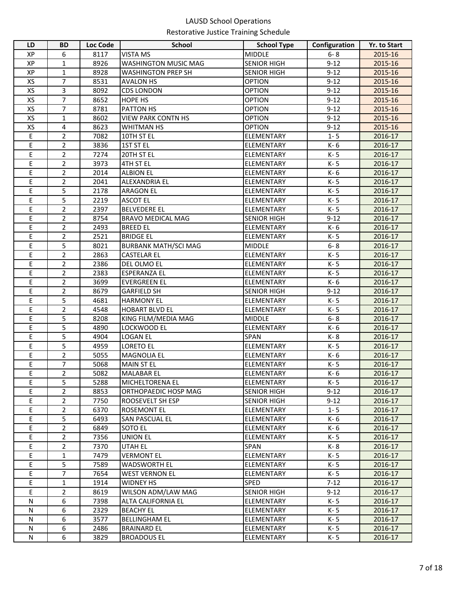| LD | <b>BD</b>      | <b>Loc Code</b> | <b>School</b>               | <b>School Type</b> | Configuration | Yr. to Start |
|----|----------------|-----------------|-----------------------------|--------------------|---------------|--------------|
| ХP | 6              | 8117            | <b>VISTA MS</b>             | <b>MIDDLE</b>      | $6 - 8$       | 2015-16      |
| XP | $\mathbf{1}$   | 8926            | WASHINGTON MUSIC MAG        | <b>SENIOR HIGH</b> | $9 - 12$      | 2015-16      |
| XP | 1              | 8928            | <b>WASHINGTON PREP SH</b>   | <b>SENIOR HIGH</b> | $9 - 12$      | 2015-16      |
| XS | $\overline{7}$ | 8531            | <b>AVALON HS</b>            | <b>OPTION</b>      | $9 - 12$      | 2015-16      |
| XS | 3              | 8092            | <b>CDS LONDON</b>           | <b>OPTION</b>      | $9 - 12$      | 2015-16      |
| XS | $\overline{7}$ | 8652            | HOPE HS                     | <b>OPTION</b>      | $9 - 12$      | 2015-16      |
| XS | $\overline{7}$ | 8781            | PATTON HS                   | <b>OPTION</b>      | $9 - 12$      | 2015-16      |
| XS | $\mathbf{1}$   | 8602            | <b>VIEW PARK CONTN HS</b>   | <b>OPTION</b>      | $9 - 12$      | 2015-16      |
| XS | 4              | 8623            | WHITMAN HS                  | <b>OPTION</b>      | $9 - 12$      | 2015-16      |
| Ε  | $\overline{2}$ | 7082            | 10TH ST EL                  | <b>ELEMENTARY</b>  | $1 - 5$       | 2016-17      |
| Ε  | $\overline{2}$ | 3836            | 1ST ST EL                   | <b>ELEMENTARY</b>  | K-6           | 2016-17      |
| E  | $\overline{2}$ | 7274            | 20TH ST EL                  | <b>ELEMENTARY</b>  | K-5           | 2016-17      |
| E  | $\overline{2}$ | 3973            | 4TH ST EL                   | <b>ELEMENTARY</b>  | K-5           | 2016-17      |
| E  | $\overline{2}$ | 2014            | <b>ALBION EL</b>            | <b>ELEMENTARY</b>  | K-6           | 2016-17      |
| E  | $\overline{2}$ | 2041            | ALEXANDRIA EL               | <b>ELEMENTARY</b>  | K-5           | 2016-17      |
| E  | 5              | 2178            | <b>ARAGON EL</b>            | <b>ELEMENTARY</b>  | K-5           | 2016-17      |
| E  | 5              | 2219            | <b>ASCOT EL</b>             | <b>ELEMENTARY</b>  | K-5           | 2016-17      |
| E  | $\overline{2}$ | 2397            | <b>BELVEDERE EL</b>         | <b>ELEMENTARY</b>  | K-5           | 2016-17      |
| E  | $\overline{2}$ | 8754            | <b>BRAVO MEDICAL MAG</b>    | <b>SENIOR HIGH</b> | $9 - 12$      | 2016-17      |
| E  | $\overline{2}$ | 2493            | <b>BREED EL</b>             | <b>ELEMENTARY</b>  | K-6           | 2016-17      |
| E  | $\overline{2}$ | 2521            | <b>BRIDGE EL</b>            | ELEMENTARY         | K-5           | 2016-17      |
| E  | 5              | 8021            | <b>BURBANK MATH/SCI MAG</b> | <b>MIDDLE</b>      | $6 - 8$       | 2016-17      |
| E  | $\overline{2}$ | 2863            | <b>CASTELAR EL</b>          | ELEMENTARY         | K-5           | 2016-17      |
| E  | $\overline{2}$ | 2386            | DEL OLMO EL                 | ELEMENTARY         | K-5           | 2016-17      |
| E  | $\overline{2}$ | 2383            | ESPERANZA EL                | ELEMENTARY         | K-5           | 2016-17      |
| E  | 2              | 3699            | <b>EVERGREEN EL</b>         | ELEMENTARY         | K-6           | 2016-17      |
| Ε  | 2              | 8679            | <b>GARFIELD SH</b>          | <b>SENIOR HIGH</b> | $9 - 12$      | 2016-17      |
| E  | 5              | 4681            | <b>HARMONY EL</b>           | ELEMENTARY         | K-5           | 2016-17      |
| E  | 2              | 4548            | <b>HOBART BLVD EL</b>       | ELEMENTARY         | K-5           | 2016-17      |
| E  | 5              | 8208            | KING FILM/MEDIA MAG         | <b>MIDDLE</b>      | $6 - 8$       | 2016-17      |
| E  | 5              | 4890            | LOCKWOOD EL                 | <b>ELEMENTARY</b>  | K-6           | 2016-17      |
| E  | 5              | 4904            | <b>LOGAN EL</b>             | <b>SPAN</b>        | K-8           | 2016-17      |
| Ε  | 5              | 4959            | <b>LORETO EL</b>            | ELEMENTARY         | K-5           | 2016-17      |
| Ε  | $\overline{2}$ | 5055            | <b>MAGNOLIA EL</b>          | <b>ELEMENTARY</b>  | K-6           | 2016-17      |
| E  | 7              | 5068            | <b>MAIN ST EL</b>           | <b>ELEMENTARY</b>  | K-5           | 2016-17      |
| E  | $\overline{2}$ | 5082            | <b>MALABAR EL</b>           | ELEMENTARY         | K- 6          | 2016-17      |
| E  | 5              | 5288            | MICHELTORENA EL             | <b>ELEMENTARY</b>  | K-5           | 2016-17      |
| Е  | $\overline{2}$ | 8853            | ORTHOPAEDIC HOSP MAG        | <b>SENIOR HIGH</b> | $9 - 12$      | 2016-17      |
| E  | $\overline{2}$ | 7750            | ROOSEVELT SH ESP            | <b>SENIOR HIGH</b> | $9 - 12$      | 2016-17      |
| E  | $\overline{2}$ | 6370            | <b>ROSEMONT EL</b>          | <b>ELEMENTARY</b>  | $1 - 5$       | 2016-17      |
| E  | 5              | 6493            | SAN PASCUAL EL              | <b>ELEMENTARY</b>  | K- 6          | 2016-17      |
| E  | $\overline{2}$ | 6849            | SOTO EL                     | <b>ELEMENTARY</b>  | K- 6          | 2016-17      |
| E  | $\overline{2}$ | 7356            | <b>UNION EL</b>             | <b>ELEMENTARY</b>  | K- 5          | 2016-17      |
| E  | 2              | 7370            | UTAH EL                     | SPAN               | K-8           | 2016-17      |
| Ε  | 1              | 7479            | <b>VERMONT EL</b>           | <b>ELEMENTARY</b>  | K-5           | 2016-17      |
| Ε  | 5              | 7589            | <b>WADSWORTH EL</b>         | ELEMENTARY         | K- 5          | 2016-17      |
| Е  | $\overline{7}$ | 7654            | <b>WEST VERNON EL</b>       | <b>ELEMENTARY</b>  | K-5           | 2016-17      |
| Е  | $\mathbf{1}$   | 1914            | WIDNEY HS                   | <b>SPED</b>        | $7 - 12$      | 2016-17      |
| E  | $\overline{2}$ | 8619            | WILSON ADM/LAW MAG          | <b>SENIOR HIGH</b> | $9 - 12$      | 2016-17      |
| N  | 6              | 7398            | ALTA CALIFORNIA EL          | ELEMENTARY         | K-5           | 2016-17      |
| N  | 6              | 2329            | <b>BEACHY EL</b>            | ELEMENTARY         | K-5           | 2016-17      |
| N  | 6              | 3577            | <b>BELLINGHAM EL</b>        | <b>ELEMENTARY</b>  | K- 5          | 2016-17      |
| N  | 6              | 2486            | <b>BRAINARD EL</b>          | <b>ELEMENTARY</b>  | K-5           | 2016-17      |
| N  | 6              | 3829            | <b>BROADOUS EL</b>          | ELEMENTARY         | K- 5          | 2016-17      |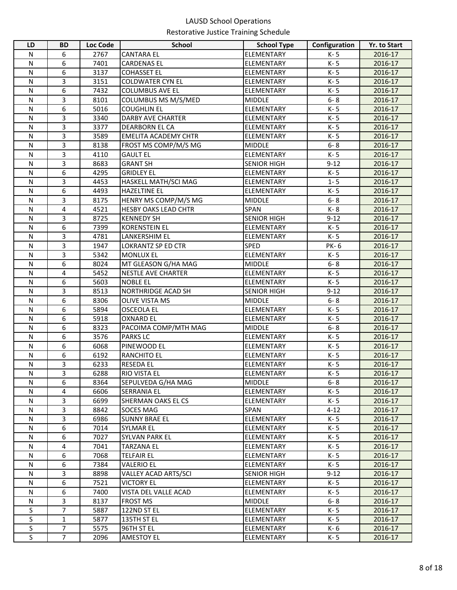| LD           | <b>BD</b>      | Loc Code     | <b>School</b>                            | <b>School Type</b>                      | Configuration | Yr. to Start       |
|--------------|----------------|--------------|------------------------------------------|-----------------------------------------|---------------|--------------------|
| N            | 6              | 2767         | <b>CANTARA EL</b>                        | ELEMENTARY                              | K-5           | 2016-17            |
| $\mathsf{N}$ | 6              | 7401         | <b>CARDENAS EL</b>                       | <b>ELEMENTARY</b>                       | K-5           | 2016-17            |
| N            | 6              | 3137         | <b>COHASSET EL</b>                       | ELEMENTARY                              | K-5           | 2016-17            |
| ${\sf N}$    | 3              | 3151         | <b>COLDWATER CYN EL</b>                  | ELEMENTARY                              | K-5           | 2016-17            |
| N            | 6              | 7432         | <b>COLUMBUS AVE EL</b>                   | ELEMENTARY                              | K-5           | 2016-17            |
| N            | 3              | 8101         | COLUMBUS MS M/S/MED                      | <b>MIDDLE</b>                           | $6 - 8$       | 2016-17            |
| N            | 6              | 5016         | <b>COUGHLIN EL</b>                       | <b>ELEMENTARY</b>                       | K-5           | 2016-17            |
| ${\sf N}$    | 3              | 3340         | <b>DARBY AVE CHARTER</b>                 | <b>ELEMENTARY</b>                       | K-5           | 2016-17            |
| N            | 3              | 3377         | DEARBORN EL CA                           | <b>ELEMENTARY</b>                       | K-5           | 2016-17            |
| ${\sf N}$    | 3              | 3589         | <b>EMELITA ACADEMY CHTR</b>              | <b>ELEMENTARY</b>                       | K-5           | 2016-17            |
| ${\sf N}$    | 3              | 8138         | FROST MS COMP/M/S MG                     | <b>MIDDLE</b>                           | $6 - 8$       | 2016-17            |
| N            | 3              | 4110         | <b>GAULT EL</b>                          | <b>ELEMENTARY</b>                       | K-5           | 2016-17            |
| N            | 3              | 8683         | <b>GRANT SH</b>                          | <b>SENIOR HIGH</b>                      | $9 - 12$      | 2016-17            |
| ${\sf N}$    | 6              | 4295         | <b>GRIDLEY EL</b>                        | <b>ELEMENTARY</b>                       | K-5           | 2016-17            |
| N            | 3              | 4453         | HASKELL MATH/SCI MAG                     | <b>ELEMENTARY</b>                       | $1 - 5$       | 2016-17            |
| N            | 6              | 4493         | <b>HAZELTINE EL</b>                      | <b>ELEMENTARY</b>                       | K-5           | 2016-17            |
| N            | 3              | 8175         | HENRY MS COMP/M/S MG                     | <b>MIDDLE</b>                           | $6 - 8$       | 2016-17            |
| N            | 4              | 4521         | <b>HESBY OAKS LEAD CHTR</b>              | <b>SPAN</b>                             | K-8           | 2016-17            |
| N            | 3              | 8725         | <b>KENNEDY SH</b>                        | <b>SENIOR HIGH</b>                      | $9 - 12$      | 2016-17            |
| ${\sf N}$    | 6              | 7399         | <b>KORENSTEIN EL</b>                     | <b>ELEMENTARY</b>                       | K-5           | 2016-17            |
| ${\sf N}$    | 3              | 4781         | <b>LANKERSHIM EL</b>                     | <b>ELEMENTARY</b>                       | K-5           | 2016-17            |
| ${\sf N}$    | 3              | 1947         | LOKRANTZ SP ED CTR                       | <b>SPED</b>                             | PK-6          | 2016-17            |
| $\mathsf{N}$ | 3              | 5342         | <b>MONLUX EL</b>                         | ELEMENTARY                              | K-5           | 2016-17            |
| ${\sf N}$    | 6              | 8024         | MT GLEASON G/HA MAG                      | <b>MIDDLE</b>                           | $6 - 8$       | 2016-17            |
| $\mathsf{N}$ | 4              | 5452         | NESTLE AVE CHARTER                       | ELEMENTARY                              | K-5           | 2016-17            |
| ${\sf N}$    | 6              | 5603         | <b>NOBLE EL</b>                          | ELEMENTARY                              | K-5           | 2016-17            |
| ${\sf N}$    | 3              | 8513         | NORTHRIDGE ACAD SH                       | <b>SENIOR HIGH</b>                      | $9 - 12$      | 2016-17            |
| ${\sf N}$    | 6              | 8306         | <b>OLIVE VISTA MS</b>                    | <b>MIDDLE</b>                           | $6 - 8$       | 2016-17            |
| ${\sf N}$    | 6              | 5894         | <b>OSCEOLA EL</b>                        | ELEMENTARY                              | K-5           | 2016-17            |
| ${\sf N}$    | 6              | 5918         | <b>OXNARD EL</b>                         | ELEMENTARY                              | K-5           | 2016-17            |
| N            | 6              | 8323         | PACOIMA COMP/MTH MAG                     | <b>MIDDLE</b>                           | $6 - 8$       | 2016-17            |
| N            | 6              | 3576         | <b>PARKS LC</b>                          | <b>ELEMENTARY</b>                       | K-5           | 2016-17            |
| $\mathsf{N}$ | 6              | 6068         | PINEWOOD EL                              | ELEMENTARY                              | K-5           | 2016-17            |
| ${\sf N}$    | 6              | 6192         | <b>RANCHITO EL</b>                       | <b>ELEMENTARY</b>                       | K-5           | 2016-17            |
| $\mathsf{N}$ | 3              | 6233         | <b>RESEDA EL</b>                         | <b>ELEMENTARY</b>                       | K-5           | 2016-17            |
| ${\sf N}$    | 3              | 6288         | RIO VISTA EL                             | <b>ELEMENTARY</b>                       | K-5           | 2016-17            |
| N            | 6              | 8364         | SEPULVEDA G/HA MAG                       | <b>MIDDLE</b>                           | $6 - 8$       | 2016-17            |
| N            | 4<br>3         | 6606         | <b>SERRANIA EL</b>                       | <b>ELEMENTARY</b>                       | K-5           | 2016-17            |
| N            |                | 6699         | <b>SHERMAN OAKS EL CS</b>                | <b>ELEMENTARY</b>                       | K-5           | 2016-17            |
| N            | 3              | 8842         | <b>SOCES MAG</b>                         | <b>SPAN</b>                             | $4 - 12$      | 2016-17            |
| N<br>N       | 3<br>6         | 6986<br>7014 | <b>SUNNY BRAE EL</b><br><b>SYLMAR EL</b> | <b>ELEMENTARY</b>                       | K-5<br>K-5    | 2016-17<br>2016-17 |
| N            | 6              | 7027         | <b>SYLVAN PARK EL</b>                    | <b>ELEMENTARY</b><br><b>ELEMENTARY</b>  | K-5           | 2016-17            |
| N            | 4              |              | <b>TARZANA EL</b>                        |                                         |               |                    |
| N            | 6              | 7041<br>7068 | <b>TELFAIR EL</b>                        | <b>ELEMENTARY</b><br><b>ELEMENTARY</b>  | K-5<br>K-5    | 2016-17<br>2016-17 |
| N            | 6              | 7384         | <b>VALERIO EL</b>                        |                                         | K-5           | 2016-17            |
| ${\sf N}$    | 3              | 8898         | VALLEY ACAD ARTS/SCI                     | <b>ELEMENTARY</b><br><b>SENIOR HIGH</b> | $9 - 12$      | 2016-17            |
| N            | 6              | 7521         | <b>VICTORY EL</b>                        | <b>ELEMENTARY</b>                       | K-5           | 2016-17            |
| N            | 6              | 7400         | VISTA DEL VALLE ACAD                     | ELEMENTARY                              | K-5           | 2016-17            |
| N            | 3              | 8137         | <b>FROST MS</b>                          | <b>MIDDLE</b>                           | $6 - 8$       | 2016-17            |
| $\mathsf S$  | $\overline{7}$ | 5887         | 122ND ST EL                              | <b>ELEMENTARY</b>                       | K-5           | 2016-17            |
| $\sf S$      | $\mathbf{1}$   | 5877         | 135TH ST EL                              | ELEMENTARY                              | K-5           | 2016-17            |
| $\mathsf S$  | $\overline{7}$ | 5575         | 96TH ST EL                               | ELEMENTARY                              | K- 6          | 2016-17            |
| S            | $\overline{7}$ | 2096         | AMESTOY EL                               | <b>ELEMENTARY</b>                       | K-5           | 2016-17            |
|              |                |              |                                          |                                         |               |                    |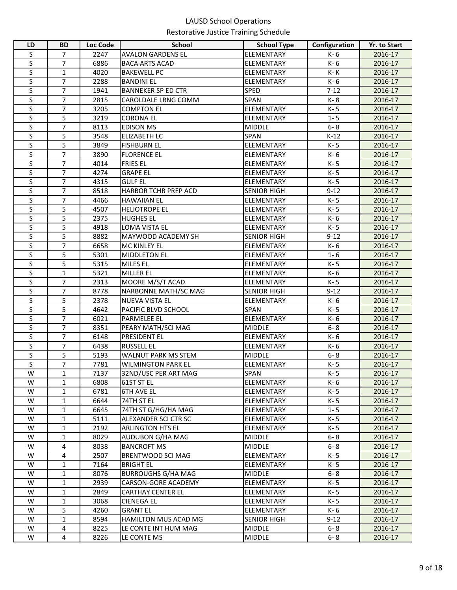| LD                           | <b>BD</b>                    | <b>Loc Code</b> | <b>School</b>                     | <b>School Type</b>                     | Configuration  | Yr. to Start       |
|------------------------------|------------------------------|-----------------|-----------------------------------|----------------------------------------|----------------|--------------------|
| S                            | 7                            | 2247            | <b>AVALON GARDENS EL</b>          | ELEMENTARY                             | K-6            | 2016-17            |
| S                            | $\overline{7}$               | 6886            | <b>BACA ARTS ACAD</b>             | ELEMENTARY                             | K-6            | 2016-17            |
| S                            | 1                            | 4020            | <b>BAKEWELL PC</b>                | ELEMENTARY                             | K-K            | 2016-17            |
| S                            | 7                            | 2288            | <b>BANDINI EL</b>                 | ELEMENTARY                             | K-6            | 2016-17            |
| S                            | $\overline{7}$               | 1941            | <b>BANNEKER SP ED CTR</b>         | <b>SPED</b>                            | $7 - 12$       | 2016-17            |
| S                            | $\overline{7}$               | 2815            | CAROLDALE LRNG COMM               | SPAN                                   | K-8            | 2016-17            |
| S                            | 7                            | 3205            | <b>COMPTON EL</b>                 | ELEMENTARY                             | K-5            | 2016-17            |
| S                            | 5                            | 3219            | <b>CORONA EL</b>                  | ELEMENTARY                             | $1 - 5$        | 2016-17            |
| S                            | 7                            | 8113            | <b>EDISON MS</b>                  | <b>MIDDLE</b>                          | $6 - 8$        | 2016-17            |
| S                            | 5                            | 3548            | <b>ELIZABETH LC</b>               | SPAN                                   | $K-12$         | 2016-17            |
| S                            | 5                            | 3849            | <b>FISHBURN EL</b>                | <b>ELEMENTARY</b>                      | K-5            | 2016-17            |
| S                            | $\overline{7}$               | 3890            | <b>FLORENCE EL</b>                | <b>ELEMENTARY</b>                      | K-6            | 2016-17            |
| S                            | $\overline{7}$               | 4014            | <b>FRIES EL</b>                   | <b>ELEMENTARY</b>                      | K-5            | 2016-17            |
| S                            | $\overline{7}$               | 4274            | <b>GRAPE EL</b>                   | ELEMENTARY                             | K-5            | 2016-17            |
| S                            | $\overline{7}$               | 4315            | <b>GULF EL</b>                    | <b>ELEMENTARY</b>                      | K-5            | 2016-17            |
| S                            | $\overline{7}$               | 8518            | HARBOR TCHR PREP ACD              | <b>SENIOR HIGH</b>                     | $9 - 12$       | 2016-17            |
| S                            | $\overline{7}$               | 4466            | <b>HAWAIIAN EL</b>                | ELEMENTARY                             | K-5            | 2016-17            |
| S                            | 5                            | 4507            | <b>HELIOTROPE EL</b>              | <b>ELEMENTARY</b>                      | K-5            | 2016-17            |
| S                            | 5                            | 2375            | <b>HUGHES EL</b>                  | <b>ELEMENTARY</b>                      | K-6            | 2016-17            |
| S                            | 5                            | 4918            | LOMA VISTA EL                     | <b>ELEMENTARY</b>                      | K-5            | 2016-17            |
| S                            | 5                            | 8882            | MAYWOOD ACADEMY SH                | <b>SENIOR HIGH</b>                     | $9 - 12$       | 2016-17            |
| S                            | 7                            | 6658            | MC KINLEY EL                      | ELEMENTARY                             | K-6            | 2016-17            |
| S                            | 5                            | 5301            | <b>MIDDLETON EL</b>               | ELEMENTARY                             | $1 - 6$        | 2016-17            |
| S                            | 5                            | 5315            | MILES EL                          | ELEMENTARY                             | K-5            | 2016-17            |
| S                            | $\mathbf{1}$                 | 5321            | MILLER EL                         | ELEMENTARY                             | K-6            | 2016-17            |
| S                            | $\overline{7}$               | 2313            | MOORE M/S/T ACAD                  | ELEMENTARY                             | K-5            | 2016-17            |
| S                            | $\overline{7}$               | 8778            | NARBONNE MATH/SC MAG              | <b>SENIOR HIGH</b>                     | $9 - 12$       | 2016-17            |
| S                            | 5                            | 2378            | NUEVA VISTA EL                    | ELEMENTARY                             | K-6            | 2016-17            |
| S                            | 5                            | 4642            | PACIFIC BLVD SCHOOL               | <b>SPAN</b>                            | K-5            | 2016-17            |
| S                            | $\overline{7}$               | 6021            | PARMELEE EL                       | ELEMENTARY                             | K-6            | 2016-17            |
| S                            | $\overline{7}$               | 8351            | PEARY MATH/SCI MAG                | <b>MIDDLE</b>                          | $6 - 8$        | 2016-17            |
| S                            | $\overline{7}$               | 6148            | PRESIDENT EL                      | ELEMENTARY                             | K-6            | 2016-17            |
| S                            | $\overline{7}$               | 6438            | <b>RUSSELL EL</b>                 | ELEMENTARY                             | K-6            | 2016-17            |
| S                            | 5                            | 5193            | WALNUT PARK MS STEM               | <b>MIDDLE</b>                          | $6 - 8$        | 2016-17            |
| S<br>$\overline{\mathsf{W}}$ | $\overline{7}$               | 7781            | <b>WILMINGTON PARK EL</b>         | ELEMENTARY                             | K-5            | 2016-17            |
|                              | $\mathbf{1}$                 | 7137            | 32ND/USC PER ART MAG              | SPAN                                   | K-5            | 2016-17            |
| W                            | $\mathbf{1}$                 | 6808            | 61ST ST EL                        | <b>ELEMENTARY</b>                      | K- 6           | 2016-17            |
| W<br>W                       | 1                            | 6781            | <b>6TH AVE EL</b>                 | <b>ELEMENTARY</b><br><b>ELEMENTARY</b> | K-5            | 2016-17            |
| W                            | $\mathbf{1}$<br>$\mathbf{1}$ | 6644            | 74TH ST EL<br>74TH ST G/HG/HA MAG | <b>ELEMENTARY</b>                      | K-5<br>$1 - 5$ | 2016-17            |
| W                            | $\mathbf{1}$                 | 6645<br>5111    | ALEXANDER SCI CTR SC              | <b>ELEMENTARY</b>                      | K-5            | 2016-17            |
| W                            | $\mathbf{1}$                 | 2192            | <b>ARLINGTON HTS EL</b>           | <b>ELEMENTARY</b>                      | K-5            | 2016-17<br>2016-17 |
| W                            | $\mathbf{1}$                 | 8029            | AUDUBON G/HA MAG                  | <b>MIDDLE</b>                          | $6 - 8$        | 2016-17            |
| W                            | 4                            | 8038            | <b>BANCROFT MS</b>                | <b>MIDDLE</b>                          | $6 - 8$        | 2016-17            |
| W                            | 4                            | 2507            | BRENTWOOD SCI MAG                 | <b>ELEMENTARY</b>                      | K-5            | 2016-17            |
| W                            | $\mathbf{1}$                 | 7164            | <b>BRIGHT EL</b>                  | ELEMENTARY                             | K-5            | 2016-17            |
| W                            | 1                            | 8076            | <b>BURROUGHS G/HA MAG</b>         | <b>MIDDLE</b>                          | $6 - 8$        | 2016-17            |
| W                            | $\mathbf{1}$                 | 2939            | CARSON-GORE ACADEMY               | ELEMENTARY                             | K-5            | 2016-17            |
| W                            | $\mathbf{1}$                 | 2849            | <b>CARTHAY CENTER EL</b>          | ELEMENTARY                             | K-5            | 2016-17            |
| W                            | 1                            | 3068            | <b>CIENEGA EL</b>                 | ELEMENTARY                             | K-5            | 2016-17            |
| W                            | 5                            | 4260            | <b>GRANT EL</b>                   | ELEMENTARY                             | K- 6           | 2016-17            |
| W                            | $\mathbf{1}$                 | 8594            | <b>HAMILTON MUS ACAD MG</b>       | <b>SENIOR HIGH</b>                     | $9 - 12$       | 2016-17            |
| W                            | 4                            | 8225            | LE CONTE INT HUM MAG              | <b>MIDDLE</b>                          | $6 - 8$        | 2016-17            |
| W                            | 4                            | 8226            | LE CONTE MS                       | <b>MIDDLE</b>                          | $6 - 8$        | 2016-17            |
|                              |                              |                 |                                   |                                        |                |                    |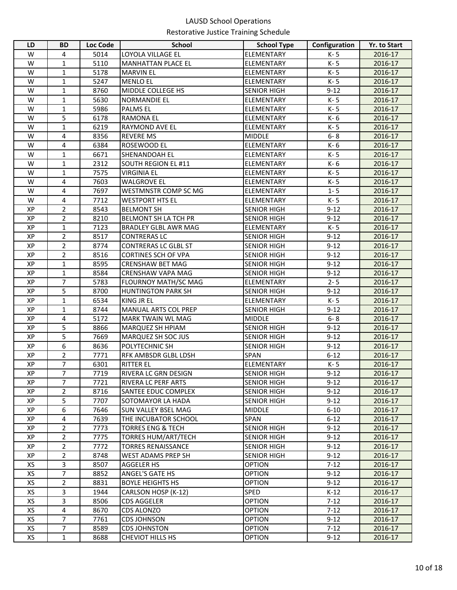| LD       | <b>BD</b>           | Loc Code     | School                                                 | <b>School Type</b>                  | Configuration        | Yr. to Start       |
|----------|---------------------|--------------|--------------------------------------------------------|-------------------------------------|----------------------|--------------------|
| W        | 4                   | 5014         | LOYOLA VILLAGE EL                                      | <b>ELEMENTARY</b>                   | K-5                  | 2016-17            |
| W        | $\mathbf{1}$        | 5110         | <b>MANHATTAN PLACE EL</b>                              | <b>ELEMENTARY</b>                   | K-5                  | 2016-17            |
| W        | 1                   | 5178         | <b>MARVIN EL</b>                                       | ELEMENTARY                          | K-5                  | 2016-17            |
| W        | 1                   | 5247         | <b>MENLO EL</b>                                        | <b>ELEMENTARY</b>                   | K-5                  | 2016-17            |
| W        | $\mathbf{1}$        | 8760         | MIDDLE COLLEGE HS                                      | <b>SENIOR HIGH</b>                  | $9 - 12$             | 2016-17            |
| W        | $\mathbf{1}$        | 5630         | <b>NORMANDIE EL</b>                                    | ELEMENTARY                          | K-5                  | 2016-17            |
| W        | $\mathbf{1}$        | 5986         | <b>PALMS EL</b>                                        | ELEMENTARY                          | K-5                  | 2016-17            |
| W        | 5                   | 6178         | <b>RAMONA EL</b>                                       | ELEMENTARY                          | K-6                  | 2016-17            |
| W        | $\mathbf{1}$        | 6219         | <b>RAYMOND AVE EL</b>                                  | ELEMENTARY                          | K-5                  | 2016-17            |
| W        | 4                   | 8356         | <b>REVERE MS</b>                                       | <b>MIDDLE</b>                       | $6 - 8$              | 2016-17            |
| W        | 4                   | 6384         | ROSEWOOD EL                                            | ELEMENTARY                          | K- 6                 | 2016-17            |
| W        | $\mathbf{1}$        | 6671         | SHENANDOAH EL                                          | ELEMENTARY                          | K-5                  | 2016-17            |
| W        | $\mathbf{1}$        | 2312         | <b>SOUTH REGION EL #11</b>                             | ELEMENTARY                          | K- 6                 | 2016-17            |
| W        | $\mathbf{1}$        | 7575         | <b>VIRGINIA EL</b>                                     | ELEMENTARY                          | K-5                  | 2016-17            |
| W        | 4                   | 7603         | <b>WALGROVE EL</b>                                     | <b>ELEMENTARY</b>                   | K- 5                 | 2016-17            |
| W        | 4                   | 7697         | WESTMNSTR COMP SC MG                                   | ELEMENTARY                          | $1 - 5$              | 2016-17            |
| W        | $\overline{4}$      | 7712         | <b>WESTPORT HTS EL</b>                                 | ELEMENTARY                          | K-5                  | 2016-17            |
| XP       | $\overline{2}$      | 8543         | <b>BELMONT SH</b>                                      | <b>SENIOR HIGH</b>                  | $9 - 12$             | 2016-17            |
| XP       | $\overline{2}$      | 8210         | BELMONT SH LA TCH PR                                   | <b>SENIOR HIGH</b>                  | $9 - 12$             | 2016-17            |
| XP       | $\mathbf{1}$        | 7123         | <b>BRADLEY GLBL AWR MAG</b>                            | ELEMENTARY                          | K-5                  | 2016-17            |
| XP       | $\overline{2}$      | 8517         | <b>CONTRERAS LC</b>                                    | <b>SENIOR HIGH</b>                  | $9 - 12$             | 2016-17            |
| XP       | $\overline{2}$      | 8774         | <b>CONTRERAS LC GLBL ST</b>                            | <b>SENIOR HIGH</b>                  | $9 - 12$             | 2016-17            |
| XP       | $\overline{2}$      | 8516         | <b>CORTINES SCH OF VPA</b>                             | <b>SENIOR HIGH</b>                  | $9 - 12$             | 2016-17            |
| XP       | $\mathbf{1}$        | 8595         | <b>CRENSHAW BET MAG</b>                                | <b>SENIOR HIGH</b>                  | $9 - 12$             | 2016-17            |
| XP       | $\mathbf{1}$        | 8584         | CRENSHAW VAPA MAG                                      | <b>SENIOR HIGH</b>                  | $9 - 12$             | 2016-17            |
| XP       | $\overline{7}$      | 5783         | FLOURNOY MATH/SC MAG                                   | <b>ELEMENTARY</b>                   | $2 - 5$              | 2016-17            |
| XP       | 5                   | 8700         | <b>HUNTINGTON PARK SH</b>                              | <b>SENIOR HIGH</b>                  | $9 - 12$             | 2016-17            |
| XP       | $\mathbf{1}$        | 6534         | <b>KING JR EL</b>                                      | <b>ELEMENTARY</b>                   | K-5                  | 2016-17            |
| XP       | $\mathbf{1}$        | 8744         | <b>MANUAL ARTS COL PREP</b>                            | <b>SENIOR HIGH</b>                  | $9 - 12$             | 2016-17            |
| XP       | 4                   | 5172         | MARK TWAIN WL MAG                                      | <b>MIDDLE</b>                       | $6 - 8$              | 2016-17            |
| XP       | 5                   | 8866         | MARQUEZ SH HPIAM                                       | <b>SENIOR HIGH</b>                  | $9 - 12$             | 2016-17            |
| XP       | 5                   | 7669         | MARQUEZ SH SOC JUS                                     | <b>SENIOR HIGH</b>                  | $9 - 12$             | 2016-17            |
| XP       | 6                   | 8636         | POLYTECHNIC SH                                         | <b>SENIOR HIGH</b>                  | $9 - 12$             | 2016-17            |
| XP       | $\overline{2}$      | 7771         | RFK AMBSDR GLBL LDSH                                   | <b>SPAN</b>                         | $6 - 12$             | 2016-17            |
| XP       | 7<br>$\overline{7}$ | 6301         | <b>RITTER EL</b>                                       | ELEMENTARY                          | K-5                  | 2016-17            |
| XP       |                     | 7719         | RIVERA LC GRN DESIGN                                   | <b>SENIOR HIGH</b>                  | $9 - 12$             | 2016-17            |
| XP       | 7                   | 7721         | <b>RIVERA LC PERF ARTS</b>                             | <b>SENIOR HIGH</b>                  | $9 - 12$             | 2016-17            |
| XP<br>XP | $\overline{2}$<br>5 | 8716         | <b>SANTEE EDUC COMPLEX</b><br><b>SOTOMAYOR LA HADA</b> | <b>SENIOR HIGH</b>                  | $9 - 12$             | 2016-17            |
| XP       | 6                   | 7707<br>7646 | <b>SUN VALLEY BSEL MAG</b>                             | <b>SENIOR HIGH</b><br><b>MIDDLE</b> | $9 - 12$<br>$6 - 10$ | 2016-17<br>2016-17 |
| XP       | 4                   | 7639         | THE INCUBATOR SCHOOL                                   | <b>SPAN</b>                         | $6 - 12$             |                    |
| XP       | $\overline{2}$      | 7773         | <b>TORRES ENG &amp; TECH</b>                           | <b>SENIOR HIGH</b>                  | $9 - 12$             | 2016-17<br>2016-17 |
| XP       | 2                   | 7775         | <b>TORRES HUM/ART/TECH</b>                             | <b>SENIOR HIGH</b>                  | $9 - 12$             | 2016-17            |
| XP       | $\overline{2}$      | 7772         | <b>TORRES RENAISSANCE</b>                              | <b>SENIOR HIGH</b>                  | $9 - 12$             | 2016-17            |
| XP       | $\overline{2}$      | 8748         | <b>WEST ADAMS PREP SH</b>                              | <b>SENIOR HIGH</b>                  | $9 - 12$             | 2016-17            |
| XS       | 3                   | 8507         | AGGELER HS                                             | <b>OPTION</b>                       | $7 - 12$             | 2016-17            |
| XS       | 7                   | 8852         | ANGEL'S GATE HS                                        | <b>OPTION</b>                       | $9 - 12$             | 2016-17            |
| XS       | $\overline{2}$      | 8831         | <b>BOYLE HEIGHTS HS</b>                                | <b>OPTION</b>                       | $9 - 12$             | 2016-17            |
| XS       | 3                   | 1944         | CARLSON HOSP (K-12)                                    | SPED                                | $K-12$               | 2016-17            |
| XS       | 3                   | 8506         | <b>CDS AGGELER</b>                                     | <b>OPTION</b>                       | $7 - 12$             | 2016-17            |
| XS       | 4                   | 8670         | <b>CDS ALONZO</b>                                      | <b>OPTION</b>                       | $7 - 12$             | 2016-17            |
| XS       | $\overline{7}$      | 7761         | <b>CDS JOHNSON</b>                                     | <b>OPTION</b>                       | $9 - 12$             | 2016-17            |
| XS       | $\overline{7}$      | 8589         | <b>CDS JOHNSTON</b>                                    | <b>OPTION</b>                       | $7-12$               | 2016-17            |
| XS       | 1                   | 8688         | <b>CHEVIOT HILLS HS</b>                                | <b>OPTION</b>                       | $9-12$               | 2016-17            |
|          |                     |              |                                                        |                                     |                      |                    |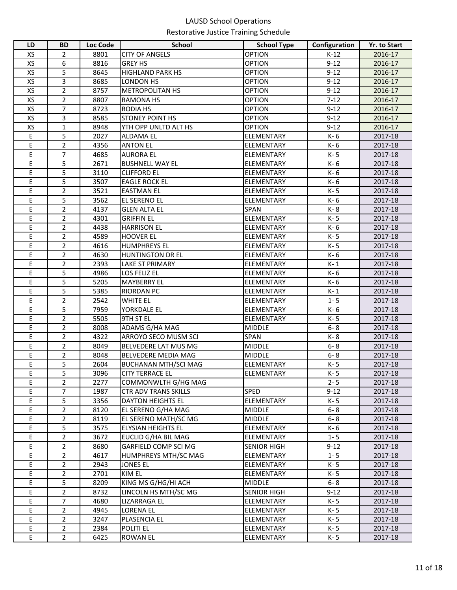| LD | <b>BD</b>      | Loc Code | <b>School</b>               | <b>School Type</b> | Configuration | Yr. to Start |
|----|----------------|----------|-----------------------------|--------------------|---------------|--------------|
| XS | 2              | 8801     | <b>CITY OF ANGELS</b>       | <b>OPTION</b>      | $K-12$        | 2016-17      |
| XS | 6              | 8816     | <b>GREY HS</b>              | <b>OPTION</b>      | $9 - 12$      | 2016-17      |
| XS | 5              | 8645     | <b>HIGHLAND PARK HS</b>     | <b>OPTION</b>      | $9 - 12$      | 2016-17      |
| XS | 3              | 8685     | <b>LONDON HS</b>            | <b>OPTION</b>      | $9 - 12$      | 2016-17      |
| XS | $\overline{2}$ | 8757     | <b>METROPOLITAN HS</b>      | <b>OPTION</b>      | $9 - 12$      | 2016-17      |
| XS | $\overline{2}$ | 8807     | <b>RAMONA HS</b>            | <b>OPTION</b>      | $7-12$        | 2016-17      |
| XS | $\overline{7}$ | 8723     | <b>RODIA HS</b>             | <b>OPTION</b>      | $9 - 12$      | 2016-17      |
| XS | 3              | 8585     | <b>STONEY POINT HS</b>      | <b>OPTION</b>      | $9 - 12$      | 2016-17      |
| XS | $\mathbf{1}$   | 8948     | YTH OPP UNLTD ALT HS        | <b>OPTION</b>      | $9 - 12$      | 2016-17      |
| Ε  | 5              | 2027     | <b>ALDAMA EL</b>            | <b>ELEMENTARY</b>  | K-6           | 2017-18      |
| Ε  | $\overline{2}$ | 4356     | <b>ANTON EL</b>             | <b>ELEMENTARY</b>  | K-6           | 2017-18      |
| E  | $\overline{7}$ | 4685     | <b>AURORA EL</b>            | <b>ELEMENTARY</b>  | K-5           | 2017-18      |
| Е  | 5              | 2671     | <b>BUSHNELL WAY EL</b>      | <b>ELEMENTARY</b>  | K- 6          | 2017-18      |
| E  | 5              | 3110     | <b>CLIFFORD EL</b>          | <b>ELEMENTARY</b>  | K-6           | 2017-18      |
| E  | 5              | 3507     | <b>EAGLE ROCK EL</b>        | <b>ELEMENTARY</b>  | K- 6          | 2017-18      |
| E  | $\overline{2}$ | 3521     | <b>EASTMAN EL</b>           | <b>ELEMENTARY</b>  | K-5           | 2017-18      |
| E  | 5              | 3562     | EL SERENO EL                | <b>ELEMENTARY</b>  | K-6           | 2017-18      |
| E  | $\overline{2}$ | 4137     | <b>GLEN ALTA EL</b>         | <b>SPAN</b>        | K-8           | 2017-18      |
| E  | $\overline{2}$ | 4301     | <b>GRIFFIN EL</b>           | <b>ELEMENTARY</b>  | K-5           | 2017-18      |
| E  | $\overline{2}$ | 4438     | <b>HARRISON EL</b>          | <b>ELEMENTARY</b>  | K-6           | 2017-18      |
| E  | $\overline{2}$ | 4589     | <b>HOOVER EL</b>            | <b>ELEMENTARY</b>  | K-5           | 2017-18      |
| E  | 2              | 4616     | <b>HUMPHREYS EL</b>         | <b>ELEMENTARY</b>  | K-5           | 2017-18      |
| E  | $\overline{2}$ | 4630     | <b>HUNTINGTON DR EL</b>     | <b>ELEMENTARY</b>  | K-6           | 2017-18      |
| E  | $\overline{2}$ | 2393     | <b>LAKE ST PRIMARY</b>      | <b>ELEMENTARY</b>  | $K-1$         | 2017-18      |
| E  | 5              | 4986     | LOS FELIZ EL                | <b>ELEMENTARY</b>  | K-6           | 2017-18      |
| E  | $\overline{5}$ | 5205     | <b>MAYBERRY EL</b>          | <b>ELEMENTARY</b>  | K-6           | 2017-18      |
| E  | 5              | 5385     | <b>RIORDAN PC</b>           | <b>ELEMENTARY</b>  | K-1           | 2017-18      |
| E  | $\overline{2}$ | 2542     | <b>WHITE EL</b>             | <b>ELEMENTARY</b>  | $1 - 5$       | 2017-18      |
| Ε  | 5              | 7959     | YORKDALE EL                 | <b>ELEMENTARY</b>  | K-6           | 2017-18      |
| E  | $\overline{2}$ | 5505     | 9TH ST EL                   | <b>ELEMENTARY</b>  | K-5           | 2017-18      |
| Е  | $\overline{2}$ | 8008     | ADAMS G/HA MAG              | <b>MIDDLE</b>      | $6 - 8$       | 2017-18      |
| E  | $\overline{2}$ | 4322     | ARROYO SECO MUSM SCI        | <b>SPAN</b>        | K-8           | 2017-18      |
| E  | $\overline{2}$ | 8049     | BELVEDERE LAT MUS MG        | <b>MIDDLE</b>      | $6 - 8$       | 2017-18      |
| Ε  | $\overline{2}$ | 8048     | BELVEDERE MEDIA MAG         | <b>MIDDLE</b>      | $6 - 8$       | 2017-18      |
| Ε  | 5              | 2604     | <b>BUCHANAN MTH/SCI MAG</b> | <b>ELEMENTARY</b>  | K-5           | 2017-18      |
| E  | 5              | 3096     | <b>CITY TERRACE EL</b>      | ELEMENTARY         | K-5           | 2017-18      |
| E  | $\overline{2}$ | 2277     | COMMONWLTH G/HG MAG         |                    | $2 - 5$       | 2017-18      |
| Е  | $\overline{7}$ | 1987     | <b>CTR ADV TRANS SKILLS</b> | <b>SPED</b>        | $9 - 12$      | 2017-18      |
| E  | $\overline{5}$ | 3356     | <b>DAYTON HEIGHTS EL</b>    | <b>ELEMENTARY</b>  | K-5           | 2017-18      |
| E  | $\overline{2}$ | 8120     | EL SERENO G/HA MAG          | <b>MIDDLE</b>      | $6 - 8$       | 2017-18      |
| Е  | $\overline{2}$ | 8119     | EL SERENO MATH/SC MG        | <b>MIDDLE</b>      | $6 - 8$       | 2017-18      |
| E  | 5              | 3575     | ELYSIAN HEIGHTS EL          | <b>ELEMENTARY</b>  | K-6           | 2017-18      |
| Е  | 2              | 3672     | EUCLID G/HA BIL MAG         | <b>ELEMENTARY</b>  | $1 - 5$       | 2017-18      |
| E  | $\overline{2}$ | 8680     | GARFIELD COMP SCI MG        | <b>SENIOR HIGH</b> | $9 - 12$      | 2017-18      |
| E  | $\overline{2}$ | 4617     | HUMPHREYS MTH/SC MAG        | <b>ELEMENTARY</b>  | $1 - 5$       | 2017-18      |
| E  | $\overline{2}$ | 2943     | <b>JONES EL</b>             | <b>ELEMENTARY</b>  | K-5           | 2017-18      |
| E  | 2              | 2701     | KIM EL                      | <b>ELEMENTARY</b>  | K-5           | 2017-18      |
| E  | 5              | 8209     | KING MS G/HG/HI ACH         | <b>MIDDLE</b>      | $6 - 8$       | 2017-18      |
| E  | $\overline{2}$ | 8732     | LINCOLN HS MTH/SC MG        | <b>SENIOR HIGH</b> | $9 - 12$      | 2017-18      |
| E  | $\overline{7}$ | 4680     | LIZARRAGA EL                | <b>ELEMENTARY</b>  | K-5           | 2017-18      |
| E  | $\overline{2}$ | 4945     | LORENA EL                   | <b>ELEMENTARY</b>  | K-5           | 2017-18      |
| E  | $\overline{2}$ | 3247     | PLASENCIA EL                | ELEMENTARY         | K-5           | 2017-18      |
| E  | $\overline{2}$ | 2384     | POLITI EL                   | ELEMENTARY         | K-5           | 2017-18      |
| E  | $\overline{2}$ | 6425     | ROWAN EL                    | <b>ELEMENTARY</b>  | K-5           | 2017-18      |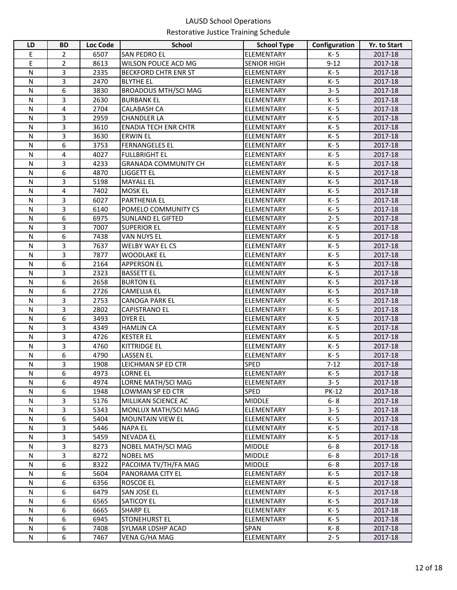| LD           | <b>BD</b>      | <b>Loc Code</b> | <b>School</b>               | <b>School Type</b> | Configuration | <b>Yr. to Start</b> |
|--------------|----------------|-----------------|-----------------------------|--------------------|---------------|---------------------|
| Е            | $\overline{2}$ | 6507            | SAN PEDRO EL                | ELEMENTARY         | K-5           | 2017-18             |
| E            | $\overline{2}$ | 8613            | WILSON POLICE ACD MG        | <b>SENIOR HIGH</b> | $9 - 12$      | 2017-18             |
| N            | 3              | 2335            | <b>BECKFORD CHTR ENR ST</b> | <b>ELEMENTARY</b>  | K-5           | 2017-18             |
| N            | 3              | 2470            | <b>BLYTHE EL</b>            | <b>ELEMENTARY</b>  | K-5           | 2017-18             |
| $\mathsf{N}$ | 6              | 3830            | <b>BROADOUS MTH/SCI MAG</b> | <b>ELEMENTARY</b>  | $3 - 5$       | 2017-18             |
| N            | 3              | 2630            | <b>BURBANK EL</b>           | <b>ELEMENTARY</b>  | K-5           | 2017-18             |
| $\mathsf{N}$ | 4              | 2704            | <b>CALABASH CA</b>          | <b>ELEMENTARY</b>  | K-5           | 2017-18             |
| N            | 3              | 2959            | <b>CHANDLER LA</b>          | <b>ELEMENTARY</b>  | K-5           | 2017-18             |
| N            | 3              | 3610            | <b>ENADIA TECH ENR CHTR</b> | <b>ELEMENTARY</b>  | K-5           | 2017-18             |
| $\mathsf{N}$ | 3              | 3630            | <b>ERWIN EL</b>             | <b>ELEMENTARY</b>  | K-5           | 2017-18             |
| $\mathsf{N}$ | 6              | 3753            | <b>FERNANGELES EL</b>       | <b>ELEMENTARY</b>  | K-5           | 2017-18             |
| N            | 4              | 4027            | <b>FULLBRIGHT EL</b>        | <b>ELEMENTARY</b>  | K-5           | 2017-18             |
| N            | 3              | 4233            | <b>GRANADA COMMUNITY CH</b> | ELEMENTARY         | K-5           | 2017-18             |
| N            | 6              | 4870            | <b>LIGGETT EL</b>           | <b>ELEMENTARY</b>  | K-5           | 2017-18             |
| N            | 3              | 5198            | <b>MAYALL EL</b>            | <b>ELEMENTARY</b>  | K-5           | 2017-18             |
| N            | 4              | 7402            | <b>MOSK EL</b>              | <b>ELEMENTARY</b>  | K-5           | 2017-18             |
| $\mathsf{N}$ | 3              | 6027            | PARTHENIA EL                | <b>ELEMENTARY</b>  | $K - 5$       | 2017-18             |
| $\mathsf{N}$ | 3              | 6140            | POMELO COMMUNITY CS         | <b>ELEMENTARY</b>  | K-5           | 2017-18             |
| N            | 6              | 6975            | <b>SUNLAND EL GIFTED</b>    | ELEMENTARY         | $2 - 5$       | 2017-18             |
| $\mathsf{N}$ | 3              | 7007            | <b>SUPERIOR EL</b>          | ELEMENTARY         | K-5           | 2017-18             |
| $\mathsf{N}$ | 6              | 7438            | <b>VAN NUYS EL</b>          | ELEMENTARY         | K-5           | 2017-18             |
| $\mathsf{N}$ | 3              | 7637            | WELBY WAY EL CS             | ELEMENTARY         | K-5           | 2017-18             |
| $\mathsf{N}$ | $\overline{3}$ | 7877            | <b>WOODLAKE EL</b>          | <b>ELEMENTARY</b>  | K-5           | 2017-18             |
| $\mathsf{N}$ | 6              | 2164            | <b>APPERSON EL</b>          | ELEMENTARY         | K-5           | 2017-18             |
| $\mathsf{N}$ | 3              | 2323            | <b>BASSETT EL</b>           | ELEMENTARY         | K-5           | 2017-18             |
| N            | 6              | 2658            | <b>BURTON EL</b>            | ELEMENTARY         | K-5           | 2017-18             |
| $\mathsf{N}$ | 6              | 2726            | <b>CAMELLIA EL</b>          | ELEMENTARY         | K-5           | 2017-18             |
| N            | 3              | 2753            | <b>CANOGA PARK EL</b>       | ELEMENTARY         | K-5           | 2017-18             |
| N            | 3              | 2802            | <b>CAPISTRANO EL</b>        | <b>ELEMENTARY</b>  | K-5           | 2017-18             |
| $\mathsf{N}$ | 6              | 3493            | <b>DYER EL</b>              | <b>ELEMENTARY</b>  | K-5           | 2017-18             |
| $\mathsf{N}$ | 3              | 4349            | <b>HAMLIN CA</b>            | <b>ELEMENTARY</b>  | K-5           | 2017-18             |
| $\mathsf{N}$ | 3              | 4726            | <b>KESTER EL</b>            | ELEMENTARY         | K-5           | 2017-18             |
| $\mathsf{N}$ | 3              | 4760            | <b>KITTRIDGE EL</b>         | <b>ELEMENTARY</b>  | K-5           | 2017-18             |
| N            | 6              | 4790            | <b>LASSEN EL</b>            | <b>ELEMENTARY</b>  | K-5           | 2017-18             |
| Ν            | 3              | 1908            | LEICHMAN SP ED CTR          | <b>SPED</b>        | $7-12$        | 2017-18             |
| ${\sf N}$    | $\overline{6}$ | 4973            | LORNE EL                    | ELEMENTARY         | $K - 5$       | 2017-18             |
| N            | 6              | 4974            | LORNE MATH/SCI MAG          | <b>ELEMENTARY</b>  | $3 - 5$       | 2017-18             |
| N            | 6              | 1948            | LOWMAN SP ED CTR            | <b>SPED</b>        | <b>PK-12</b>  | 2017-18             |
| N            | 3              | 5176            | MILLIKAN SCIENCE AC         | <b>MIDDLE</b>      | $6 - 8$       | 2017-18             |
| $\mathsf{N}$ | 3              | 5343            | MONLUX MATH/SCI MAG         | <b>ELEMENTARY</b>  | $3 - 5$       | 2017-18             |
| N            | 6              | 5404            | <b>MOUNTAIN VIEW EL</b>     | <b>ELEMENTARY</b>  | K-5           | 2017-18             |
| $\mathsf{N}$ | 3              | 5446            | <b>NAPA EL</b>              | <b>ELEMENTARY</b>  | K-5           | 2017-18             |
| $\mathsf{N}$ | 3              | 5459            | <b>NEVADA EL</b>            | <b>ELEMENTARY</b>  | K-5           | 2017-18             |
| $\mathsf{N}$ | 3              | 8273            | NOBEL MATH/SCI MAG          | <b>MIDDLE</b>      | $6 - 8$       | 2017-18             |
| $\mathsf{N}$ | 3              | 8272            | <b>NOBEL MS</b>             | <b>MIDDLE</b>      | $6 - 8$       | 2017-18             |
| $\mathsf{N}$ | 6              | 8322            | PACOIMA TV/TH/FA MAG        | <b>MIDDLE</b>      | $6 - 8$       | 2017-18             |
| N            | 6              | 5604            | PANORAMA CITY EL            | <b>ELEMENTARY</b>  | K-5           | 2017-18             |
| ${\sf N}$    | 6              | 6356            | ROSCOE EL                   | <b>ELEMENTARY</b>  | K-5           | 2017-18             |
| N            | 6              | 6479            | SAN JOSE EL                 | ELEMENTARY         | K-5           | 2017-18             |
| N            | 6              | 6565            | SATICOY EL                  | ELEMENTARY         | K-5           | 2017-18             |
| $\mathsf{N}$ | 6              | 6665            | <b>SHARP EL</b>             | <b>ELEMENTARY</b>  | K- 5          | 2017-18             |
| $\mathsf{N}$ | 6              | 6945            | STONEHURST EL               | ELEMENTARY         | K- 5          | 2017-18             |
| N            | 6              | 7408            | SYLMAR LDSHP ACAD           | <b>SPAN</b>        | K-8           | 2017-18             |
| ${\sf N}$    | 6              | 7467            | VENA G/HA MAG               | ELEMENTARY         | $2 - 5$       | 2017-18             |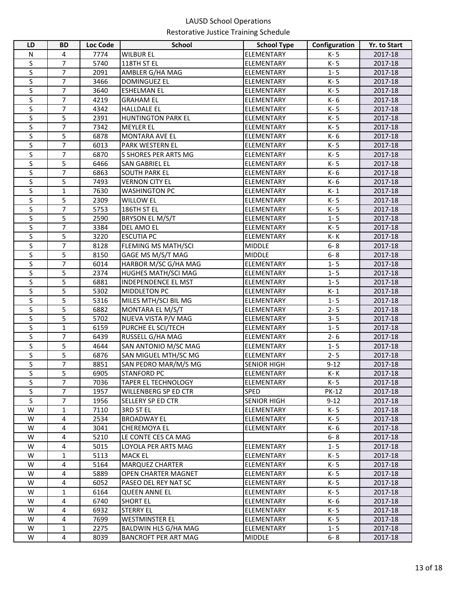| N<br>7774<br><b>WILBUR EL</b><br>ELEMENTARY<br>K-5<br>4<br>2017-18<br>S<br>$\overline{7}$<br>K-5<br>5740<br>118TH ST EL<br>ELEMENTARY<br>2017-18<br>$\overline{\mathsf{S}}$<br>$\overline{7}$<br>$1 - 5$<br>2091<br>AMBLER G/HA MAG<br>2017-18<br>ELEMENTARY<br>S<br>$\overline{7}$<br>3466<br><b>DOMINGUEZ EL</b><br>K-5<br>2017-18<br><b>ELEMENTARY</b><br>S<br>7<br>3640<br>K-5<br>2017-18<br><b>ESHELMAN EL</b><br>ELEMENTARY<br>S<br>$\overline{7}$<br>K-6<br>4219<br>ELEMENTARY<br>2017-18<br><b>GRAHAM EL</b><br>S<br>$\overline{7}$<br>K-5<br>4342<br><b>HALLDALE EL</b><br>ELEMENTARY<br>2017-18<br>S<br>5<br>2391<br>K-5<br>2017-18<br><b>HUNTINGTON PARK EL</b><br>ELEMENTARY<br>S<br>$\overline{7}$<br>7342<br><b>MEYLER EL</b><br>ELEMENTARY<br>K-5<br>2017-18<br>S<br>5<br>6878<br>K-6<br>2017-18<br><b>MONTARA AVE EL</b><br>ELEMENTARY<br>S<br>$\overline{7}$<br>K-5<br>2017-18<br>6013<br><b>PARK WESTERN EL</b><br>ELEMENTARY<br>S<br>7<br>K-5<br>6870<br>S SHORES PER ARTS MG<br>ELEMENTARY<br>2017-18<br>S<br>5<br>K-5<br>6466<br><b>SAN GABRIEL EL</b><br>ELEMENTARY<br>2017-18<br>S<br>7<br>K-6<br>6863<br><b>SOUTH PARK EL</b><br>ELEMENTARY<br>2017-18<br>S<br>5<br>K-6<br>7493<br><b>VERNON CITY EL</b><br>2017-18<br>ELEMENTARY<br>$\sf S$<br>$\mathbf{1}$<br>7630<br><b>WASHINGTON PC</b><br>$K-1$<br>2017-18<br>ELEMENTARY<br>S<br>5<br>K-5<br>2309<br><b>WILLOW EL</b><br>2017-18<br>ELEMENTARY<br>$\sf S$<br>$\overline{7}$<br>K-5<br>5753<br>2017-18<br>186TH ST EL<br>ELEMENTARY<br>S<br>5<br>$1 - 5$<br>2590<br><b>BRYSON EL M/S/T</b><br>2017-18<br><b>ELEMENTARY</b><br>S<br>$\overline{7}$<br>3384<br>K-5<br>DEL AMO EL<br>ELEMENTARY<br>2017-18<br>S<br>5<br>3220<br><b>ESCUTIA PC</b><br>K- K<br>ELEMENTARY<br>2017-18<br>$\overline{\mathsf{s}}$<br>$\overline{7}$<br>$6 - 8$<br>8128<br>FLEMING MS MATH/SCI<br><b>MIDDLE</b><br>2017-18<br>S<br>5<br>8150<br>GAGE MS M/S/T MAG<br><b>MIDDLE</b><br>$6 - 8$<br>2017-18<br>S<br>$\overline{7}$<br>6014<br>HARBOR M/SC G/HA MAG<br>ELEMENTARY<br>$1 - 5$<br>2017-18<br>S<br>5<br>$1 - 5$<br>2374<br>HUGHES MATH/SCI MAG<br>ELEMENTARY<br>2017-18<br>S<br>5<br>6881<br><b>INDEPENDENCE EL MST</b><br>ELEMENTARY<br>$1 - 5$<br>2017-18<br>S<br>5<br>5302<br>$K-1$<br>MIDDLETON PC<br>ELEMENTARY<br>2017-18<br>$\overline{\mathsf{S}}$<br>$\overline{5}$<br>$1 - 5$<br>5316<br>MILES MTH/SCI BIL MG<br>2017-18<br>ELEMENTARY<br>S<br>5<br>$2 - 5$<br>6882<br>MONTARA EL M/S/T<br>2017-18<br><b>ELEMENTARY</b><br>S<br>5<br>NUEVA VISTA P/V MAG<br>ELEMENTARY<br>$3 - 5$<br>2017-18<br>5702<br>$\sf S$<br>$1 - 5$<br>$\mathbf{1}$<br>6159<br>PURCHE EL SCI/TECH<br>ELEMENTARY<br>2017-18<br>S<br>$\overline{7}$<br>RUSSELL G/HA MAG<br>$2 - 6$<br>6439<br>ELEMENTARY<br>2017-18<br>S<br>5<br>4644<br>SAN ANTONIO M/SC MAG<br>$1 - 5$<br>2017-18<br>ELEMENTARY<br>S<br>5<br>6876<br>SAN MIGUEL MTH/SC MG<br>$2 - 5$<br>2017-18<br>ELEMENTARY<br>S<br>$\overline{7}$<br>8851<br>SAN PEDRO MAR/M/S MG<br>$9 - 12$<br>2017-18<br><b>SENIOR HIGH</b><br>S<br>5<br>6905<br><b>STANFORD PC</b><br>ELEMENTARY<br>K-K<br>2017-18<br>$\overline{7}$<br>S<br>7036<br><b>TAPER EL TECHNOLOGY</b><br><b>ELEMENTARY</b><br>K-5<br>2017-18<br>S<br>$\overline{7}$<br>1957<br>WILLENBERG SP ED CTR<br><b>SPED</b><br><b>PK-12</b><br>2017-18<br>S<br>$\overline{7}$<br>1956<br>SELLERY SP ED CTR<br><b>SENIOR HIGH</b><br>$9 - 12$<br>2017-18<br>W<br>K-5<br>$\mathbf{1}$<br>7110<br>3RD ST EL<br>ELEMENTARY<br>2017-18<br>W<br>4<br>2534<br><b>BROADWAY EL</b><br>ELEMENTARY<br>K-5<br>2017-18<br>W<br>4<br>3041<br><b>CHEREMOYA EL</b><br><b>ELEMENTARY</b><br>K- 6<br>2017-18<br>W<br>4<br>$6 - 8$<br>5210<br>LE CONTE CES CA MAG<br>2017-18<br>W<br>$1 - 5$<br>4<br>5015<br>LOYOLA PER ARTS MAG<br>ELEMENTARY<br>2017-18<br>W<br>5113<br>K- 5<br>$\mathbf{1}$<br><b>MACK EL</b><br><b>ELEMENTARY</b><br>2017-18<br>W<br>5164<br>4<br><b>MARQUEZ CHARTER</b><br>K-5<br>2017-18<br>ELEMENTARY<br>W<br>4<br>5889<br>K-5<br>OPEN CHARTER MAGNET<br>ELEMENTARY<br>2017-18<br>W<br>4<br>6052<br>PASEO DEL REY NAT SC<br><b>ELEMENTARY</b><br>K- 5<br>2017-18<br>W<br>1<br>6164<br><b>QUEEN ANNE EL</b><br>ELEMENTARY<br>K- 5<br>2017-18<br>W<br><b>SHORT EL</b><br>K- 6<br>4<br>6740<br>ELEMENTARY<br>2017-18<br>W<br>4<br>6932<br><b>STERRY EL</b><br>K- 5<br>2017-18<br>ELEMENTARY<br>W<br>4<br>7699<br>K-5<br>2017-18<br>WESTMINSTER EL<br>ELEMENTARY | LD | <b>BD</b>    | Loc Code | <b>School</b>        | <b>School Type</b> | Configuration | Yr. to Start |
|-------------------------------------------------------------------------------------------------------------------------------------------------------------------------------------------------------------------------------------------------------------------------------------------------------------------------------------------------------------------------------------------------------------------------------------------------------------------------------------------------------------------------------------------------------------------------------------------------------------------------------------------------------------------------------------------------------------------------------------------------------------------------------------------------------------------------------------------------------------------------------------------------------------------------------------------------------------------------------------------------------------------------------------------------------------------------------------------------------------------------------------------------------------------------------------------------------------------------------------------------------------------------------------------------------------------------------------------------------------------------------------------------------------------------------------------------------------------------------------------------------------------------------------------------------------------------------------------------------------------------------------------------------------------------------------------------------------------------------------------------------------------------------------------------------------------------------------------------------------------------------------------------------------------------------------------------------------------------------------------------------------------------------------------------------------------------------------------------------------------------------------------------------------------------------------------------------------------------------------------------------------------------------------------------------------------------------------------------------------------------------------------------------------------------------------------------------------------------------------------------------------------------------------------------------------------------------------------------------------------------------------------------------------------------------------------------------------------------------------------------------------------------------------------------------------------------------------------------------------------------------------------------------------------------------------------------------------------------------------------------------------------------------------------------------------------------------------------------------------------------------------------------------------------------------------------------------------------------------------------------------------------------------------------------------------------------------------------------------------------------------------------------------------------------------------------------------------------------------------------------------------------------------------------------------------------------------------------------------------------------------------------------------------------------------------------------------------------------------------------------------------------------------------------------------------------------------------------------------------------------------------------------------------------------------------------------------------------------------------------------------------------------------------------------------------------------------------------------------------------------------------------------------------------------------------------------------------------------------------------------------------------------------------------------------------------------------------------------------------------------------------------------------------------------|----|--------------|----------|----------------------|--------------------|---------------|--------------|
|                                                                                                                                                                                                                                                                                                                                                                                                                                                                                                                                                                                                                                                                                                                                                                                                                                                                                                                                                                                                                                                                                                                                                                                                                                                                                                                                                                                                                                                                                                                                                                                                                                                                                                                                                                                                                                                                                                                                                                                                                                                                                                                                                                                                                                                                                                                                                                                                                                                                                                                                                                                                                                                                                                                                                                                                                                                                                                                                                                                                                                                                                                                                                                                                                                                                                                                                                                                                                                                                                                                                                                                                                                                                                                                                                                                                                                                                                                                                                                                                                                                                                                                                                                                                                                                                                                                                                                                                                         |    |              |          |                      |                    |               |              |
|                                                                                                                                                                                                                                                                                                                                                                                                                                                                                                                                                                                                                                                                                                                                                                                                                                                                                                                                                                                                                                                                                                                                                                                                                                                                                                                                                                                                                                                                                                                                                                                                                                                                                                                                                                                                                                                                                                                                                                                                                                                                                                                                                                                                                                                                                                                                                                                                                                                                                                                                                                                                                                                                                                                                                                                                                                                                                                                                                                                                                                                                                                                                                                                                                                                                                                                                                                                                                                                                                                                                                                                                                                                                                                                                                                                                                                                                                                                                                                                                                                                                                                                                                                                                                                                                                                                                                                                                                         |    |              |          |                      |                    |               |              |
|                                                                                                                                                                                                                                                                                                                                                                                                                                                                                                                                                                                                                                                                                                                                                                                                                                                                                                                                                                                                                                                                                                                                                                                                                                                                                                                                                                                                                                                                                                                                                                                                                                                                                                                                                                                                                                                                                                                                                                                                                                                                                                                                                                                                                                                                                                                                                                                                                                                                                                                                                                                                                                                                                                                                                                                                                                                                                                                                                                                                                                                                                                                                                                                                                                                                                                                                                                                                                                                                                                                                                                                                                                                                                                                                                                                                                                                                                                                                                                                                                                                                                                                                                                                                                                                                                                                                                                                                                         |    |              |          |                      |                    |               |              |
|                                                                                                                                                                                                                                                                                                                                                                                                                                                                                                                                                                                                                                                                                                                                                                                                                                                                                                                                                                                                                                                                                                                                                                                                                                                                                                                                                                                                                                                                                                                                                                                                                                                                                                                                                                                                                                                                                                                                                                                                                                                                                                                                                                                                                                                                                                                                                                                                                                                                                                                                                                                                                                                                                                                                                                                                                                                                                                                                                                                                                                                                                                                                                                                                                                                                                                                                                                                                                                                                                                                                                                                                                                                                                                                                                                                                                                                                                                                                                                                                                                                                                                                                                                                                                                                                                                                                                                                                                         |    |              |          |                      |                    |               |              |
|                                                                                                                                                                                                                                                                                                                                                                                                                                                                                                                                                                                                                                                                                                                                                                                                                                                                                                                                                                                                                                                                                                                                                                                                                                                                                                                                                                                                                                                                                                                                                                                                                                                                                                                                                                                                                                                                                                                                                                                                                                                                                                                                                                                                                                                                                                                                                                                                                                                                                                                                                                                                                                                                                                                                                                                                                                                                                                                                                                                                                                                                                                                                                                                                                                                                                                                                                                                                                                                                                                                                                                                                                                                                                                                                                                                                                                                                                                                                                                                                                                                                                                                                                                                                                                                                                                                                                                                                                         |    |              |          |                      |                    |               |              |
|                                                                                                                                                                                                                                                                                                                                                                                                                                                                                                                                                                                                                                                                                                                                                                                                                                                                                                                                                                                                                                                                                                                                                                                                                                                                                                                                                                                                                                                                                                                                                                                                                                                                                                                                                                                                                                                                                                                                                                                                                                                                                                                                                                                                                                                                                                                                                                                                                                                                                                                                                                                                                                                                                                                                                                                                                                                                                                                                                                                                                                                                                                                                                                                                                                                                                                                                                                                                                                                                                                                                                                                                                                                                                                                                                                                                                                                                                                                                                                                                                                                                                                                                                                                                                                                                                                                                                                                                                         |    |              |          |                      |                    |               |              |
|                                                                                                                                                                                                                                                                                                                                                                                                                                                                                                                                                                                                                                                                                                                                                                                                                                                                                                                                                                                                                                                                                                                                                                                                                                                                                                                                                                                                                                                                                                                                                                                                                                                                                                                                                                                                                                                                                                                                                                                                                                                                                                                                                                                                                                                                                                                                                                                                                                                                                                                                                                                                                                                                                                                                                                                                                                                                                                                                                                                                                                                                                                                                                                                                                                                                                                                                                                                                                                                                                                                                                                                                                                                                                                                                                                                                                                                                                                                                                                                                                                                                                                                                                                                                                                                                                                                                                                                                                         |    |              |          |                      |                    |               |              |
|                                                                                                                                                                                                                                                                                                                                                                                                                                                                                                                                                                                                                                                                                                                                                                                                                                                                                                                                                                                                                                                                                                                                                                                                                                                                                                                                                                                                                                                                                                                                                                                                                                                                                                                                                                                                                                                                                                                                                                                                                                                                                                                                                                                                                                                                                                                                                                                                                                                                                                                                                                                                                                                                                                                                                                                                                                                                                                                                                                                                                                                                                                                                                                                                                                                                                                                                                                                                                                                                                                                                                                                                                                                                                                                                                                                                                                                                                                                                                                                                                                                                                                                                                                                                                                                                                                                                                                                                                         |    |              |          |                      |                    |               |              |
|                                                                                                                                                                                                                                                                                                                                                                                                                                                                                                                                                                                                                                                                                                                                                                                                                                                                                                                                                                                                                                                                                                                                                                                                                                                                                                                                                                                                                                                                                                                                                                                                                                                                                                                                                                                                                                                                                                                                                                                                                                                                                                                                                                                                                                                                                                                                                                                                                                                                                                                                                                                                                                                                                                                                                                                                                                                                                                                                                                                                                                                                                                                                                                                                                                                                                                                                                                                                                                                                                                                                                                                                                                                                                                                                                                                                                                                                                                                                                                                                                                                                                                                                                                                                                                                                                                                                                                                                                         |    |              |          |                      |                    |               |              |
|                                                                                                                                                                                                                                                                                                                                                                                                                                                                                                                                                                                                                                                                                                                                                                                                                                                                                                                                                                                                                                                                                                                                                                                                                                                                                                                                                                                                                                                                                                                                                                                                                                                                                                                                                                                                                                                                                                                                                                                                                                                                                                                                                                                                                                                                                                                                                                                                                                                                                                                                                                                                                                                                                                                                                                                                                                                                                                                                                                                                                                                                                                                                                                                                                                                                                                                                                                                                                                                                                                                                                                                                                                                                                                                                                                                                                                                                                                                                                                                                                                                                                                                                                                                                                                                                                                                                                                                                                         |    |              |          |                      |                    |               |              |
|                                                                                                                                                                                                                                                                                                                                                                                                                                                                                                                                                                                                                                                                                                                                                                                                                                                                                                                                                                                                                                                                                                                                                                                                                                                                                                                                                                                                                                                                                                                                                                                                                                                                                                                                                                                                                                                                                                                                                                                                                                                                                                                                                                                                                                                                                                                                                                                                                                                                                                                                                                                                                                                                                                                                                                                                                                                                                                                                                                                                                                                                                                                                                                                                                                                                                                                                                                                                                                                                                                                                                                                                                                                                                                                                                                                                                                                                                                                                                                                                                                                                                                                                                                                                                                                                                                                                                                                                                         |    |              |          |                      |                    |               |              |
|                                                                                                                                                                                                                                                                                                                                                                                                                                                                                                                                                                                                                                                                                                                                                                                                                                                                                                                                                                                                                                                                                                                                                                                                                                                                                                                                                                                                                                                                                                                                                                                                                                                                                                                                                                                                                                                                                                                                                                                                                                                                                                                                                                                                                                                                                                                                                                                                                                                                                                                                                                                                                                                                                                                                                                                                                                                                                                                                                                                                                                                                                                                                                                                                                                                                                                                                                                                                                                                                                                                                                                                                                                                                                                                                                                                                                                                                                                                                                                                                                                                                                                                                                                                                                                                                                                                                                                                                                         |    |              |          |                      |                    |               |              |
|                                                                                                                                                                                                                                                                                                                                                                                                                                                                                                                                                                                                                                                                                                                                                                                                                                                                                                                                                                                                                                                                                                                                                                                                                                                                                                                                                                                                                                                                                                                                                                                                                                                                                                                                                                                                                                                                                                                                                                                                                                                                                                                                                                                                                                                                                                                                                                                                                                                                                                                                                                                                                                                                                                                                                                                                                                                                                                                                                                                                                                                                                                                                                                                                                                                                                                                                                                                                                                                                                                                                                                                                                                                                                                                                                                                                                                                                                                                                                                                                                                                                                                                                                                                                                                                                                                                                                                                                                         |    |              |          |                      |                    |               |              |
|                                                                                                                                                                                                                                                                                                                                                                                                                                                                                                                                                                                                                                                                                                                                                                                                                                                                                                                                                                                                                                                                                                                                                                                                                                                                                                                                                                                                                                                                                                                                                                                                                                                                                                                                                                                                                                                                                                                                                                                                                                                                                                                                                                                                                                                                                                                                                                                                                                                                                                                                                                                                                                                                                                                                                                                                                                                                                                                                                                                                                                                                                                                                                                                                                                                                                                                                                                                                                                                                                                                                                                                                                                                                                                                                                                                                                                                                                                                                                                                                                                                                                                                                                                                                                                                                                                                                                                                                                         |    |              |          |                      |                    |               |              |
|                                                                                                                                                                                                                                                                                                                                                                                                                                                                                                                                                                                                                                                                                                                                                                                                                                                                                                                                                                                                                                                                                                                                                                                                                                                                                                                                                                                                                                                                                                                                                                                                                                                                                                                                                                                                                                                                                                                                                                                                                                                                                                                                                                                                                                                                                                                                                                                                                                                                                                                                                                                                                                                                                                                                                                                                                                                                                                                                                                                                                                                                                                                                                                                                                                                                                                                                                                                                                                                                                                                                                                                                                                                                                                                                                                                                                                                                                                                                                                                                                                                                                                                                                                                                                                                                                                                                                                                                                         |    |              |          |                      |                    |               |              |
|                                                                                                                                                                                                                                                                                                                                                                                                                                                                                                                                                                                                                                                                                                                                                                                                                                                                                                                                                                                                                                                                                                                                                                                                                                                                                                                                                                                                                                                                                                                                                                                                                                                                                                                                                                                                                                                                                                                                                                                                                                                                                                                                                                                                                                                                                                                                                                                                                                                                                                                                                                                                                                                                                                                                                                                                                                                                                                                                                                                                                                                                                                                                                                                                                                                                                                                                                                                                                                                                                                                                                                                                                                                                                                                                                                                                                                                                                                                                                                                                                                                                                                                                                                                                                                                                                                                                                                                                                         |    |              |          |                      |                    |               |              |
|                                                                                                                                                                                                                                                                                                                                                                                                                                                                                                                                                                                                                                                                                                                                                                                                                                                                                                                                                                                                                                                                                                                                                                                                                                                                                                                                                                                                                                                                                                                                                                                                                                                                                                                                                                                                                                                                                                                                                                                                                                                                                                                                                                                                                                                                                                                                                                                                                                                                                                                                                                                                                                                                                                                                                                                                                                                                                                                                                                                                                                                                                                                                                                                                                                                                                                                                                                                                                                                                                                                                                                                                                                                                                                                                                                                                                                                                                                                                                                                                                                                                                                                                                                                                                                                                                                                                                                                                                         |    |              |          |                      |                    |               |              |
|                                                                                                                                                                                                                                                                                                                                                                                                                                                                                                                                                                                                                                                                                                                                                                                                                                                                                                                                                                                                                                                                                                                                                                                                                                                                                                                                                                                                                                                                                                                                                                                                                                                                                                                                                                                                                                                                                                                                                                                                                                                                                                                                                                                                                                                                                                                                                                                                                                                                                                                                                                                                                                                                                                                                                                                                                                                                                                                                                                                                                                                                                                                                                                                                                                                                                                                                                                                                                                                                                                                                                                                                                                                                                                                                                                                                                                                                                                                                                                                                                                                                                                                                                                                                                                                                                                                                                                                                                         |    |              |          |                      |                    |               |              |
|                                                                                                                                                                                                                                                                                                                                                                                                                                                                                                                                                                                                                                                                                                                                                                                                                                                                                                                                                                                                                                                                                                                                                                                                                                                                                                                                                                                                                                                                                                                                                                                                                                                                                                                                                                                                                                                                                                                                                                                                                                                                                                                                                                                                                                                                                                                                                                                                                                                                                                                                                                                                                                                                                                                                                                                                                                                                                                                                                                                                                                                                                                                                                                                                                                                                                                                                                                                                                                                                                                                                                                                                                                                                                                                                                                                                                                                                                                                                                                                                                                                                                                                                                                                                                                                                                                                                                                                                                         |    |              |          |                      |                    |               |              |
|                                                                                                                                                                                                                                                                                                                                                                                                                                                                                                                                                                                                                                                                                                                                                                                                                                                                                                                                                                                                                                                                                                                                                                                                                                                                                                                                                                                                                                                                                                                                                                                                                                                                                                                                                                                                                                                                                                                                                                                                                                                                                                                                                                                                                                                                                                                                                                                                                                                                                                                                                                                                                                                                                                                                                                                                                                                                                                                                                                                                                                                                                                                                                                                                                                                                                                                                                                                                                                                                                                                                                                                                                                                                                                                                                                                                                                                                                                                                                                                                                                                                                                                                                                                                                                                                                                                                                                                                                         |    |              |          |                      |                    |               |              |
|                                                                                                                                                                                                                                                                                                                                                                                                                                                                                                                                                                                                                                                                                                                                                                                                                                                                                                                                                                                                                                                                                                                                                                                                                                                                                                                                                                                                                                                                                                                                                                                                                                                                                                                                                                                                                                                                                                                                                                                                                                                                                                                                                                                                                                                                                                                                                                                                                                                                                                                                                                                                                                                                                                                                                                                                                                                                                                                                                                                                                                                                                                                                                                                                                                                                                                                                                                                                                                                                                                                                                                                                                                                                                                                                                                                                                                                                                                                                                                                                                                                                                                                                                                                                                                                                                                                                                                                                                         |    |              |          |                      |                    |               |              |
|                                                                                                                                                                                                                                                                                                                                                                                                                                                                                                                                                                                                                                                                                                                                                                                                                                                                                                                                                                                                                                                                                                                                                                                                                                                                                                                                                                                                                                                                                                                                                                                                                                                                                                                                                                                                                                                                                                                                                                                                                                                                                                                                                                                                                                                                                                                                                                                                                                                                                                                                                                                                                                                                                                                                                                                                                                                                                                                                                                                                                                                                                                                                                                                                                                                                                                                                                                                                                                                                                                                                                                                                                                                                                                                                                                                                                                                                                                                                                                                                                                                                                                                                                                                                                                                                                                                                                                                                                         |    |              |          |                      |                    |               |              |
|                                                                                                                                                                                                                                                                                                                                                                                                                                                                                                                                                                                                                                                                                                                                                                                                                                                                                                                                                                                                                                                                                                                                                                                                                                                                                                                                                                                                                                                                                                                                                                                                                                                                                                                                                                                                                                                                                                                                                                                                                                                                                                                                                                                                                                                                                                                                                                                                                                                                                                                                                                                                                                                                                                                                                                                                                                                                                                                                                                                                                                                                                                                                                                                                                                                                                                                                                                                                                                                                                                                                                                                                                                                                                                                                                                                                                                                                                                                                                                                                                                                                                                                                                                                                                                                                                                                                                                                                                         |    |              |          |                      |                    |               |              |
|                                                                                                                                                                                                                                                                                                                                                                                                                                                                                                                                                                                                                                                                                                                                                                                                                                                                                                                                                                                                                                                                                                                                                                                                                                                                                                                                                                                                                                                                                                                                                                                                                                                                                                                                                                                                                                                                                                                                                                                                                                                                                                                                                                                                                                                                                                                                                                                                                                                                                                                                                                                                                                                                                                                                                                                                                                                                                                                                                                                                                                                                                                                                                                                                                                                                                                                                                                                                                                                                                                                                                                                                                                                                                                                                                                                                                                                                                                                                                                                                                                                                                                                                                                                                                                                                                                                                                                                                                         |    |              |          |                      |                    |               |              |
|                                                                                                                                                                                                                                                                                                                                                                                                                                                                                                                                                                                                                                                                                                                                                                                                                                                                                                                                                                                                                                                                                                                                                                                                                                                                                                                                                                                                                                                                                                                                                                                                                                                                                                                                                                                                                                                                                                                                                                                                                                                                                                                                                                                                                                                                                                                                                                                                                                                                                                                                                                                                                                                                                                                                                                                                                                                                                                                                                                                                                                                                                                                                                                                                                                                                                                                                                                                                                                                                                                                                                                                                                                                                                                                                                                                                                                                                                                                                                                                                                                                                                                                                                                                                                                                                                                                                                                                                                         |    |              |          |                      |                    |               |              |
|                                                                                                                                                                                                                                                                                                                                                                                                                                                                                                                                                                                                                                                                                                                                                                                                                                                                                                                                                                                                                                                                                                                                                                                                                                                                                                                                                                                                                                                                                                                                                                                                                                                                                                                                                                                                                                                                                                                                                                                                                                                                                                                                                                                                                                                                                                                                                                                                                                                                                                                                                                                                                                                                                                                                                                                                                                                                                                                                                                                                                                                                                                                                                                                                                                                                                                                                                                                                                                                                                                                                                                                                                                                                                                                                                                                                                                                                                                                                                                                                                                                                                                                                                                                                                                                                                                                                                                                                                         |    |              |          |                      |                    |               |              |
|                                                                                                                                                                                                                                                                                                                                                                                                                                                                                                                                                                                                                                                                                                                                                                                                                                                                                                                                                                                                                                                                                                                                                                                                                                                                                                                                                                                                                                                                                                                                                                                                                                                                                                                                                                                                                                                                                                                                                                                                                                                                                                                                                                                                                                                                                                                                                                                                                                                                                                                                                                                                                                                                                                                                                                                                                                                                                                                                                                                                                                                                                                                                                                                                                                                                                                                                                                                                                                                                                                                                                                                                                                                                                                                                                                                                                                                                                                                                                                                                                                                                                                                                                                                                                                                                                                                                                                                                                         |    |              |          |                      |                    |               |              |
|                                                                                                                                                                                                                                                                                                                                                                                                                                                                                                                                                                                                                                                                                                                                                                                                                                                                                                                                                                                                                                                                                                                                                                                                                                                                                                                                                                                                                                                                                                                                                                                                                                                                                                                                                                                                                                                                                                                                                                                                                                                                                                                                                                                                                                                                                                                                                                                                                                                                                                                                                                                                                                                                                                                                                                                                                                                                                                                                                                                                                                                                                                                                                                                                                                                                                                                                                                                                                                                                                                                                                                                                                                                                                                                                                                                                                                                                                                                                                                                                                                                                                                                                                                                                                                                                                                                                                                                                                         |    |              |          |                      |                    |               |              |
|                                                                                                                                                                                                                                                                                                                                                                                                                                                                                                                                                                                                                                                                                                                                                                                                                                                                                                                                                                                                                                                                                                                                                                                                                                                                                                                                                                                                                                                                                                                                                                                                                                                                                                                                                                                                                                                                                                                                                                                                                                                                                                                                                                                                                                                                                                                                                                                                                                                                                                                                                                                                                                                                                                                                                                                                                                                                                                                                                                                                                                                                                                                                                                                                                                                                                                                                                                                                                                                                                                                                                                                                                                                                                                                                                                                                                                                                                                                                                                                                                                                                                                                                                                                                                                                                                                                                                                                                                         |    |              |          |                      |                    |               |              |
|                                                                                                                                                                                                                                                                                                                                                                                                                                                                                                                                                                                                                                                                                                                                                                                                                                                                                                                                                                                                                                                                                                                                                                                                                                                                                                                                                                                                                                                                                                                                                                                                                                                                                                                                                                                                                                                                                                                                                                                                                                                                                                                                                                                                                                                                                                                                                                                                                                                                                                                                                                                                                                                                                                                                                                                                                                                                                                                                                                                                                                                                                                                                                                                                                                                                                                                                                                                                                                                                                                                                                                                                                                                                                                                                                                                                                                                                                                                                                                                                                                                                                                                                                                                                                                                                                                                                                                                                                         |    |              |          |                      |                    |               |              |
|                                                                                                                                                                                                                                                                                                                                                                                                                                                                                                                                                                                                                                                                                                                                                                                                                                                                                                                                                                                                                                                                                                                                                                                                                                                                                                                                                                                                                                                                                                                                                                                                                                                                                                                                                                                                                                                                                                                                                                                                                                                                                                                                                                                                                                                                                                                                                                                                                                                                                                                                                                                                                                                                                                                                                                                                                                                                                                                                                                                                                                                                                                                                                                                                                                                                                                                                                                                                                                                                                                                                                                                                                                                                                                                                                                                                                                                                                                                                                                                                                                                                                                                                                                                                                                                                                                                                                                                                                         |    |              |          |                      |                    |               |              |
|                                                                                                                                                                                                                                                                                                                                                                                                                                                                                                                                                                                                                                                                                                                                                                                                                                                                                                                                                                                                                                                                                                                                                                                                                                                                                                                                                                                                                                                                                                                                                                                                                                                                                                                                                                                                                                                                                                                                                                                                                                                                                                                                                                                                                                                                                                                                                                                                                                                                                                                                                                                                                                                                                                                                                                                                                                                                                                                                                                                                                                                                                                                                                                                                                                                                                                                                                                                                                                                                                                                                                                                                                                                                                                                                                                                                                                                                                                                                                                                                                                                                                                                                                                                                                                                                                                                                                                                                                         |    |              |          |                      |                    |               |              |
|                                                                                                                                                                                                                                                                                                                                                                                                                                                                                                                                                                                                                                                                                                                                                                                                                                                                                                                                                                                                                                                                                                                                                                                                                                                                                                                                                                                                                                                                                                                                                                                                                                                                                                                                                                                                                                                                                                                                                                                                                                                                                                                                                                                                                                                                                                                                                                                                                                                                                                                                                                                                                                                                                                                                                                                                                                                                                                                                                                                                                                                                                                                                                                                                                                                                                                                                                                                                                                                                                                                                                                                                                                                                                                                                                                                                                                                                                                                                                                                                                                                                                                                                                                                                                                                                                                                                                                                                                         |    |              |          |                      |                    |               |              |
|                                                                                                                                                                                                                                                                                                                                                                                                                                                                                                                                                                                                                                                                                                                                                                                                                                                                                                                                                                                                                                                                                                                                                                                                                                                                                                                                                                                                                                                                                                                                                                                                                                                                                                                                                                                                                                                                                                                                                                                                                                                                                                                                                                                                                                                                                                                                                                                                                                                                                                                                                                                                                                                                                                                                                                                                                                                                                                                                                                                                                                                                                                                                                                                                                                                                                                                                                                                                                                                                                                                                                                                                                                                                                                                                                                                                                                                                                                                                                                                                                                                                                                                                                                                                                                                                                                                                                                                                                         |    |              |          |                      |                    |               |              |
|                                                                                                                                                                                                                                                                                                                                                                                                                                                                                                                                                                                                                                                                                                                                                                                                                                                                                                                                                                                                                                                                                                                                                                                                                                                                                                                                                                                                                                                                                                                                                                                                                                                                                                                                                                                                                                                                                                                                                                                                                                                                                                                                                                                                                                                                                                                                                                                                                                                                                                                                                                                                                                                                                                                                                                                                                                                                                                                                                                                                                                                                                                                                                                                                                                                                                                                                                                                                                                                                                                                                                                                                                                                                                                                                                                                                                                                                                                                                                                                                                                                                                                                                                                                                                                                                                                                                                                                                                         |    |              |          |                      |                    |               |              |
|                                                                                                                                                                                                                                                                                                                                                                                                                                                                                                                                                                                                                                                                                                                                                                                                                                                                                                                                                                                                                                                                                                                                                                                                                                                                                                                                                                                                                                                                                                                                                                                                                                                                                                                                                                                                                                                                                                                                                                                                                                                                                                                                                                                                                                                                                                                                                                                                                                                                                                                                                                                                                                                                                                                                                                                                                                                                                                                                                                                                                                                                                                                                                                                                                                                                                                                                                                                                                                                                                                                                                                                                                                                                                                                                                                                                                                                                                                                                                                                                                                                                                                                                                                                                                                                                                                                                                                                                                         |    |              |          |                      |                    |               |              |
|                                                                                                                                                                                                                                                                                                                                                                                                                                                                                                                                                                                                                                                                                                                                                                                                                                                                                                                                                                                                                                                                                                                                                                                                                                                                                                                                                                                                                                                                                                                                                                                                                                                                                                                                                                                                                                                                                                                                                                                                                                                                                                                                                                                                                                                                                                                                                                                                                                                                                                                                                                                                                                                                                                                                                                                                                                                                                                                                                                                                                                                                                                                                                                                                                                                                                                                                                                                                                                                                                                                                                                                                                                                                                                                                                                                                                                                                                                                                                                                                                                                                                                                                                                                                                                                                                                                                                                                                                         |    |              |          |                      |                    |               |              |
|                                                                                                                                                                                                                                                                                                                                                                                                                                                                                                                                                                                                                                                                                                                                                                                                                                                                                                                                                                                                                                                                                                                                                                                                                                                                                                                                                                                                                                                                                                                                                                                                                                                                                                                                                                                                                                                                                                                                                                                                                                                                                                                                                                                                                                                                                                                                                                                                                                                                                                                                                                                                                                                                                                                                                                                                                                                                                                                                                                                                                                                                                                                                                                                                                                                                                                                                                                                                                                                                                                                                                                                                                                                                                                                                                                                                                                                                                                                                                                                                                                                                                                                                                                                                                                                                                                                                                                                                                         |    |              |          |                      |                    |               |              |
|                                                                                                                                                                                                                                                                                                                                                                                                                                                                                                                                                                                                                                                                                                                                                                                                                                                                                                                                                                                                                                                                                                                                                                                                                                                                                                                                                                                                                                                                                                                                                                                                                                                                                                                                                                                                                                                                                                                                                                                                                                                                                                                                                                                                                                                                                                                                                                                                                                                                                                                                                                                                                                                                                                                                                                                                                                                                                                                                                                                                                                                                                                                                                                                                                                                                                                                                                                                                                                                                                                                                                                                                                                                                                                                                                                                                                                                                                                                                                                                                                                                                                                                                                                                                                                                                                                                                                                                                                         |    |              |          |                      |                    |               |              |
|                                                                                                                                                                                                                                                                                                                                                                                                                                                                                                                                                                                                                                                                                                                                                                                                                                                                                                                                                                                                                                                                                                                                                                                                                                                                                                                                                                                                                                                                                                                                                                                                                                                                                                                                                                                                                                                                                                                                                                                                                                                                                                                                                                                                                                                                                                                                                                                                                                                                                                                                                                                                                                                                                                                                                                                                                                                                                                                                                                                                                                                                                                                                                                                                                                                                                                                                                                                                                                                                                                                                                                                                                                                                                                                                                                                                                                                                                                                                                                                                                                                                                                                                                                                                                                                                                                                                                                                                                         |    |              |          |                      |                    |               |              |
|                                                                                                                                                                                                                                                                                                                                                                                                                                                                                                                                                                                                                                                                                                                                                                                                                                                                                                                                                                                                                                                                                                                                                                                                                                                                                                                                                                                                                                                                                                                                                                                                                                                                                                                                                                                                                                                                                                                                                                                                                                                                                                                                                                                                                                                                                                                                                                                                                                                                                                                                                                                                                                                                                                                                                                                                                                                                                                                                                                                                                                                                                                                                                                                                                                                                                                                                                                                                                                                                                                                                                                                                                                                                                                                                                                                                                                                                                                                                                                                                                                                                                                                                                                                                                                                                                                                                                                                                                         |    |              |          |                      |                    |               |              |
|                                                                                                                                                                                                                                                                                                                                                                                                                                                                                                                                                                                                                                                                                                                                                                                                                                                                                                                                                                                                                                                                                                                                                                                                                                                                                                                                                                                                                                                                                                                                                                                                                                                                                                                                                                                                                                                                                                                                                                                                                                                                                                                                                                                                                                                                                                                                                                                                                                                                                                                                                                                                                                                                                                                                                                                                                                                                                                                                                                                                                                                                                                                                                                                                                                                                                                                                                                                                                                                                                                                                                                                                                                                                                                                                                                                                                                                                                                                                                                                                                                                                                                                                                                                                                                                                                                                                                                                                                         |    |              |          |                      |                    |               |              |
|                                                                                                                                                                                                                                                                                                                                                                                                                                                                                                                                                                                                                                                                                                                                                                                                                                                                                                                                                                                                                                                                                                                                                                                                                                                                                                                                                                                                                                                                                                                                                                                                                                                                                                                                                                                                                                                                                                                                                                                                                                                                                                                                                                                                                                                                                                                                                                                                                                                                                                                                                                                                                                                                                                                                                                                                                                                                                                                                                                                                                                                                                                                                                                                                                                                                                                                                                                                                                                                                                                                                                                                                                                                                                                                                                                                                                                                                                                                                                                                                                                                                                                                                                                                                                                                                                                                                                                                                                         |    |              |          |                      |                    |               |              |
|                                                                                                                                                                                                                                                                                                                                                                                                                                                                                                                                                                                                                                                                                                                                                                                                                                                                                                                                                                                                                                                                                                                                                                                                                                                                                                                                                                                                                                                                                                                                                                                                                                                                                                                                                                                                                                                                                                                                                                                                                                                                                                                                                                                                                                                                                                                                                                                                                                                                                                                                                                                                                                                                                                                                                                                                                                                                                                                                                                                                                                                                                                                                                                                                                                                                                                                                                                                                                                                                                                                                                                                                                                                                                                                                                                                                                                                                                                                                                                                                                                                                                                                                                                                                                                                                                                                                                                                                                         |    |              |          |                      |                    |               |              |
|                                                                                                                                                                                                                                                                                                                                                                                                                                                                                                                                                                                                                                                                                                                                                                                                                                                                                                                                                                                                                                                                                                                                                                                                                                                                                                                                                                                                                                                                                                                                                                                                                                                                                                                                                                                                                                                                                                                                                                                                                                                                                                                                                                                                                                                                                                                                                                                                                                                                                                                                                                                                                                                                                                                                                                                                                                                                                                                                                                                                                                                                                                                                                                                                                                                                                                                                                                                                                                                                                                                                                                                                                                                                                                                                                                                                                                                                                                                                                                                                                                                                                                                                                                                                                                                                                                                                                                                                                         |    |              |          |                      |                    |               |              |
|                                                                                                                                                                                                                                                                                                                                                                                                                                                                                                                                                                                                                                                                                                                                                                                                                                                                                                                                                                                                                                                                                                                                                                                                                                                                                                                                                                                                                                                                                                                                                                                                                                                                                                                                                                                                                                                                                                                                                                                                                                                                                                                                                                                                                                                                                                                                                                                                                                                                                                                                                                                                                                                                                                                                                                                                                                                                                                                                                                                                                                                                                                                                                                                                                                                                                                                                                                                                                                                                                                                                                                                                                                                                                                                                                                                                                                                                                                                                                                                                                                                                                                                                                                                                                                                                                                                                                                                                                         |    |              |          |                      |                    |               |              |
|                                                                                                                                                                                                                                                                                                                                                                                                                                                                                                                                                                                                                                                                                                                                                                                                                                                                                                                                                                                                                                                                                                                                                                                                                                                                                                                                                                                                                                                                                                                                                                                                                                                                                                                                                                                                                                                                                                                                                                                                                                                                                                                                                                                                                                                                                                                                                                                                                                                                                                                                                                                                                                                                                                                                                                                                                                                                                                                                                                                                                                                                                                                                                                                                                                                                                                                                                                                                                                                                                                                                                                                                                                                                                                                                                                                                                                                                                                                                                                                                                                                                                                                                                                                                                                                                                                                                                                                                                         |    |              |          |                      |                    |               |              |
|                                                                                                                                                                                                                                                                                                                                                                                                                                                                                                                                                                                                                                                                                                                                                                                                                                                                                                                                                                                                                                                                                                                                                                                                                                                                                                                                                                                                                                                                                                                                                                                                                                                                                                                                                                                                                                                                                                                                                                                                                                                                                                                                                                                                                                                                                                                                                                                                                                                                                                                                                                                                                                                                                                                                                                                                                                                                                                                                                                                                                                                                                                                                                                                                                                                                                                                                                                                                                                                                                                                                                                                                                                                                                                                                                                                                                                                                                                                                                                                                                                                                                                                                                                                                                                                                                                                                                                                                                         |    |              |          |                      |                    |               |              |
|                                                                                                                                                                                                                                                                                                                                                                                                                                                                                                                                                                                                                                                                                                                                                                                                                                                                                                                                                                                                                                                                                                                                                                                                                                                                                                                                                                                                                                                                                                                                                                                                                                                                                                                                                                                                                                                                                                                                                                                                                                                                                                                                                                                                                                                                                                                                                                                                                                                                                                                                                                                                                                                                                                                                                                                                                                                                                                                                                                                                                                                                                                                                                                                                                                                                                                                                                                                                                                                                                                                                                                                                                                                                                                                                                                                                                                                                                                                                                                                                                                                                                                                                                                                                                                                                                                                                                                                                                         |    |              |          |                      |                    |               |              |
|                                                                                                                                                                                                                                                                                                                                                                                                                                                                                                                                                                                                                                                                                                                                                                                                                                                                                                                                                                                                                                                                                                                                                                                                                                                                                                                                                                                                                                                                                                                                                                                                                                                                                                                                                                                                                                                                                                                                                                                                                                                                                                                                                                                                                                                                                                                                                                                                                                                                                                                                                                                                                                                                                                                                                                                                                                                                                                                                                                                                                                                                                                                                                                                                                                                                                                                                                                                                                                                                                                                                                                                                                                                                                                                                                                                                                                                                                                                                                                                                                                                                                                                                                                                                                                                                                                                                                                                                                         |    |              |          |                      |                    |               |              |
|                                                                                                                                                                                                                                                                                                                                                                                                                                                                                                                                                                                                                                                                                                                                                                                                                                                                                                                                                                                                                                                                                                                                                                                                                                                                                                                                                                                                                                                                                                                                                                                                                                                                                                                                                                                                                                                                                                                                                                                                                                                                                                                                                                                                                                                                                                                                                                                                                                                                                                                                                                                                                                                                                                                                                                                                                                                                                                                                                                                                                                                                                                                                                                                                                                                                                                                                                                                                                                                                                                                                                                                                                                                                                                                                                                                                                                                                                                                                                                                                                                                                                                                                                                                                                                                                                                                                                                                                                         |    |              |          |                      |                    |               |              |
|                                                                                                                                                                                                                                                                                                                                                                                                                                                                                                                                                                                                                                                                                                                                                                                                                                                                                                                                                                                                                                                                                                                                                                                                                                                                                                                                                                                                                                                                                                                                                                                                                                                                                                                                                                                                                                                                                                                                                                                                                                                                                                                                                                                                                                                                                                                                                                                                                                                                                                                                                                                                                                                                                                                                                                                                                                                                                                                                                                                                                                                                                                                                                                                                                                                                                                                                                                                                                                                                                                                                                                                                                                                                                                                                                                                                                                                                                                                                                                                                                                                                                                                                                                                                                                                                                                                                                                                                                         |    |              |          |                      |                    |               |              |
|                                                                                                                                                                                                                                                                                                                                                                                                                                                                                                                                                                                                                                                                                                                                                                                                                                                                                                                                                                                                                                                                                                                                                                                                                                                                                                                                                                                                                                                                                                                                                                                                                                                                                                                                                                                                                                                                                                                                                                                                                                                                                                                                                                                                                                                                                                                                                                                                                                                                                                                                                                                                                                                                                                                                                                                                                                                                                                                                                                                                                                                                                                                                                                                                                                                                                                                                                                                                                                                                                                                                                                                                                                                                                                                                                                                                                                                                                                                                                                                                                                                                                                                                                                                                                                                                                                                                                                                                                         | W  | $\mathbf{1}$ | 2275     | BALDWIN HLS G/HA MAG | ELEMENTARY         | $1 - 5$       | 2017-18      |
| W<br>4<br>8039<br><b>BANCROFT PER ART MAG</b><br><b>MIDDLE</b><br>$6 - 8$<br>2017-18                                                                                                                                                                                                                                                                                                                                                                                                                                                                                                                                                                                                                                                                                                                                                                                                                                                                                                                                                                                                                                                                                                                                                                                                                                                                                                                                                                                                                                                                                                                                                                                                                                                                                                                                                                                                                                                                                                                                                                                                                                                                                                                                                                                                                                                                                                                                                                                                                                                                                                                                                                                                                                                                                                                                                                                                                                                                                                                                                                                                                                                                                                                                                                                                                                                                                                                                                                                                                                                                                                                                                                                                                                                                                                                                                                                                                                                                                                                                                                                                                                                                                                                                                                                                                                                                                                                                    |    |              |          |                      |                    |               |              |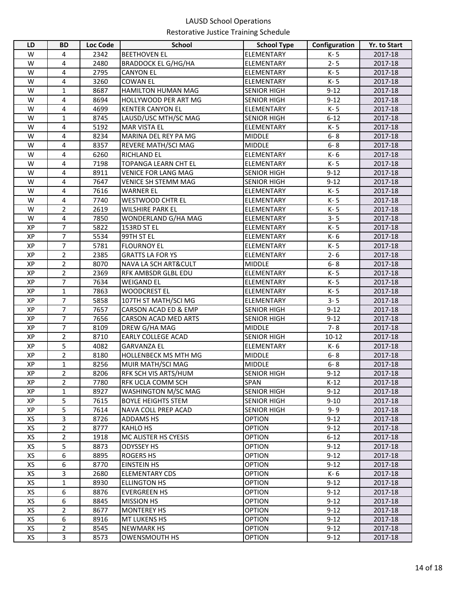| LD | <b>BD</b>      | Loc Code | <b>School</b>               | <b>School Type</b> | Configuration | Yr. to Start |
|----|----------------|----------|-----------------------------|--------------------|---------------|--------------|
| W  | 4              | 2342     | <b>BEETHOVEN EL</b>         | ELEMENTARY         | K-5           | 2017-18      |
| W  | 4              | 2480     | <b>BRADDOCK EL G/HG/HA</b>  | <b>ELEMENTARY</b>  | $2 - 5$       | 2017-18      |
| W  | 4              | 2795     | <b>CANYON EL</b>            | ELEMENTARY         | K-5           | 2017-18      |
| W  | 4              | 3260     | <b>COWAN EL</b>             | ELEMENTARY         | K-5           | 2017-18      |
| W  | $\mathbf{1}$   | 8687     | HAMILTON HUMAN MAG          | <b>SENIOR HIGH</b> | $9 - 12$      | 2017-18      |
| W  | 4              | 8694     | HOLLYWOOD PER ART MG        | <b>SENIOR HIGH</b> | $9 - 12$      | 2017-18      |
| W  | 4              | 4699     | <b>KENTER CANYON EL</b>     | ELEMENTARY         | K-5           | 2017-18      |
| W  | $\mathbf{1}$   | 8745     | LAUSD/USC MTH/SC MAG        | <b>SENIOR HIGH</b> | $6 - 12$      | 2017-18      |
| W  | 4              | 5192     | <b>MAR VISTA EL</b>         | ELEMENTARY         | K-5           | 2017-18      |
| W  | 4              | 8234     | MARINA DEL REY PA MG        | <b>MIDDLE</b>      | $6 - 8$       | 2017-18      |
| W  | 4              | 8357     | <b>REVERE MATH/SCI MAG</b>  | <b>MIDDLE</b>      | $6 - 8$       | 2017-18      |
| W  | 4              | 6260     | <b>RICHLAND EL</b>          | ELEMENTARY         | K- 6          | 2017-18      |
| W  | 4              | 7198     | <b>TOPANGA LEARN CHT EL</b> | ELEMENTARY         | K-5           | 2017-18      |
| W  | 4              | 8911     | <b>VENICE FOR LANG MAG</b>  | <b>SENIOR HIGH</b> | $9 - 12$      | 2017-18      |
| W  | 4              | 7647     | <b>VENICE SH STEMM MAG</b>  | <b>SENIOR HIGH</b> | $9 - 12$      | 2017-18      |
| W  | 4              | 7616     | <b>WARNER EL</b>            | ELEMENTARY         | K- 5          | 2017-18      |
| W  | $\overline{4}$ | 7740     | <b>WESTWOOD CHTR EL</b>     | ELEMENTARY         | K-5           | 2017-18      |
| W  | $\overline{2}$ | 2619     | <b>WILSHIRE PARK EL</b>     | ELEMENTARY         | K-5           | 2017-18      |
| W  | 4              | 7850     | WONDERLAND G/HA MAG         | ELEMENTARY         | $3 - 5$       | 2017-18      |
| XP | $\overline{7}$ | 5822     | 153RD ST EL                 | ELEMENTARY         | K-5           | 2017-18      |
| XP | $\overline{7}$ | 5534     | 99TH ST EL                  | ELEMENTARY         | K-6           | 2017-18      |
| XP | 7              | 5781     | <b>FLOURNOY EL</b>          | <b>ELEMENTARY</b>  | K-5           | 2017-18      |
| XP | $\overline{2}$ | 2385     | <b>GRATTS LA FOR YS</b>     | ELEMENTARY         | $2 - 6$       | 2017-18      |
| XP | $\overline{2}$ | 8070     | NAVA LA SCH ART&CULT        | <b>MIDDLE</b>      | $6 - 8$       | 2017-18      |
| XP | $\overline{2}$ | 2369     | RFK AMBSDR GLBL EDU         | ELEMENTARY         | K-5           | 2017-18      |
| XP | $\overline{7}$ | 7634     | <b>WEIGAND EL</b>           | ELEMENTARY         | K-5           | 2017-18      |
| XP | $\mathbf{1}$   | 7863     | <b>WOODCREST EL</b>         | ELEMENTARY         | K-5           | 2017-18      |
| XP | 7              | 5858     | 107TH ST MATH/SCI MG        | ELEMENTARY         | $3 - 5$       | 2017-18      |
| XP | 7              | 7657     | CARSON ACAD ED & EMP        | <b>SENIOR HIGH</b> | $9 - 12$      | 2017-18      |
| XP | $\overline{7}$ | 7656     | <b>CARSON ACAD MED ARTS</b> | <b>SENIOR HIGH</b> | $9 - 12$      | 2017-18      |
| XP | $\overline{7}$ | 8109     | DREW G/HA MAG               | <b>MIDDLE</b>      | $7 - 8$       | 2017-18      |
| XP | $\overline{2}$ | 8710     | EARLY COLLEGE ACAD          | <b>SENIOR HIGH</b> | $10 - 12$     | 2017-18      |
| XP | 5              | 4082     | <b>GARVANZA EL</b>          | ELEMENTARY         | K-6           | 2017-18      |
| XP | $\overline{2}$ | 8180     | <b>HOLLENBECK MS MTH MG</b> | <b>MIDDLE</b>      | $6 - 8$       | 2017-18      |
| XP | 1              | 8256     | MUIR MATH/SCI MAG           | <b>MIDDLE</b>      | $6 - 8$       | 2017-18      |
| XP | $\overline{c}$ | 8206     | RFK SCH VIS ARTS/HUM        | <b>SENIOR HIGH</b> | $9 - 12$      | 2017-18      |
| XP | 2              | 7780     | RFK UCLA COMM SCH           | SPAN               | $K-12$        | 2017-18      |
| XP | 1              | 8927     | WASHINGTON M/SC MAG         | <b>SENIOR HIGH</b> | $9 - 12$      | 2017-18      |
| XP | 5              | 7615     | <b>BOYLE HEIGHTS STEM</b>   | <b>SENIOR HIGH</b> | $9 - 10$      | 2017-18      |
| XP | 5              | 7614     | <b>NAVA COLL PREP ACAD</b>  | <b>SENIOR HIGH</b> | $9 - 9$       | 2017-18      |
| XS | 3              | 8726     | <b>ADDAMS HS</b>            | <b>OPTION</b>      | $9 - 12$      | 2017-18      |
| XS | $\overline{2}$ | 8777     | <b>KAHLO HS</b>             | <b>OPTION</b>      | $9 - 12$      | 2017-18      |
| XS | 2              | 1918     | MC ALISTER HS CYESIS        | <b>OPTION</b>      | $6 - 12$      | 2017-18      |
| XS | 5              | 8873     | <b>ODYSSEY HS</b>           | <b>OPTION</b>      | $9 - 12$      | 2017-18      |
| XS | 6              | 8895     | ROGERS HS                   | <b>OPTION</b>      | $9 - 12$      | 2017-18      |
| XS | 6              | 8770     | <b>EINSTEIN HS</b>          | <b>OPTION</b>      | $9 - 12$      | 2017-18      |
| XS | 3              | 2680     | <b>ELEMENTARY CDS</b>       | <b>OPTION</b>      | K-6           | 2017-18      |
| XS | $\mathbf{1}$   | 8930     | <b>ELLINGTON HS</b>         | <b>OPTION</b>      | $9 - 12$      | 2017-18      |
| XS | 6              | 8876     | <b>EVERGREEN HS</b>         | <b>OPTION</b>      | $9 - 12$      | 2017-18      |
| XS | 6              | 8845     | <b>MISSION HS</b>           | <b>OPTION</b>      | $9 - 12$      | 2017-18      |
| XS | $\overline{2}$ | 8677     | <b>MONTEREY HS</b>          | <b>OPTION</b>      | $9 - 12$      | 2017-18      |
| XS | 6              | 8916     | <b>MT LUKENS HS</b>         | <b>OPTION</b>      | $9 - 12$      | 2017-18      |
| XS | $\overline{2}$ | 8545     | <b>NEWMARK HS</b>           | <b>OPTION</b>      | $9-12$        | 2017-18      |
| XS | 3              | 8573     | <b>OWENSMOUTH HS</b>        | <b>OPTION</b>      | $9-12$        | 2017-18      |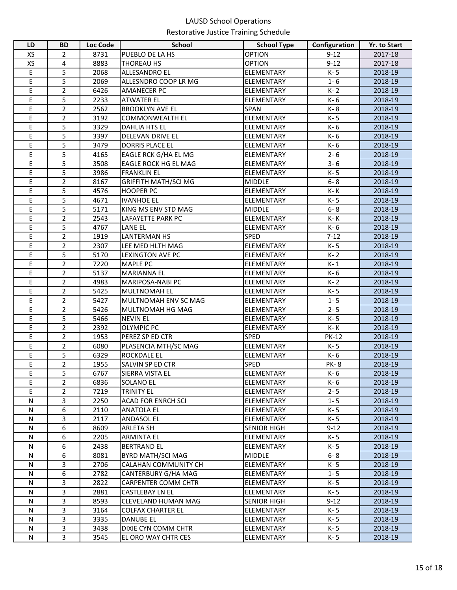| LD        | <b>BD</b>      | Loc Code | <b>School</b>               | <b>School Type</b> | Configuration | Yr. to Start |
|-----------|----------------|----------|-----------------------------|--------------------|---------------|--------------|
| XS        | 2              | 8731     | PUEBLO DE LA HS             | <b>OPTION</b>      | $9 - 12$      | 2017-18      |
| XS        | 4              | 8883     | THOREAU HS                  | <b>OPTION</b>      | $9 - 12$      | 2017-18      |
| E         | 5              | 2068     | ALLESANDRO EL               | ELEMENTARY         | K-5           | 2018-19      |
| E         | 5              | 2069     | ALLESNDRO COOP LR MG        | ELEMENTARY         | $1 - 6$       | 2018-19      |
| E         | $\overline{2}$ | 6426     | <b>AMANECER PC</b>          | ELEMENTARY         | K-2           | 2018-19      |
| Ε         | 5              | 2233     | <b>ATWATER EL</b>           | ELEMENTARY         | K- 6          | 2018-19      |
| E         | $\overline{2}$ | 2562     | <b>BROOKLYN AVE EL</b>      | <b>SPAN</b>        | K-8           | 2018-19      |
| E         | $\overline{2}$ | 3192     | <b>COMMONWEALTH EL</b>      | <b>ELEMENTARY</b>  | K-5           | 2018-19      |
| E         | 5              | 3329     | DAHLIA HTS EL               | <b>ELEMENTARY</b>  | K-6           | 2018-19      |
| E         | 5              | 3397     | DELEVAN DRIVE EL            | <b>ELEMENTARY</b>  | K-6           | 2018-19      |
| E         | 5              | 3479     | DORRIS PLACE EL             | <b>ELEMENTARY</b>  | K-6           | 2018-19      |
| Ε         | 5              | 4165     | EAGLE RCK G/HA EL MG        | <b>ELEMENTARY</b>  | $2 - 6$       | 2018-19      |
| Ε         | 5              | 3508     | EAGLE ROCK HG EL MAG        | <b>ELEMENTARY</b>  | $3 - 6$       | 2018-19      |
| Ε         | 5              | 3986     | <b>FRANKLIN EL</b>          | <b>ELEMENTARY</b>  | K-5           | 2018-19      |
| E         | $\overline{2}$ | 8167     | <b>GRIFFITH MATH/SCI MG</b> | <b>MIDDLE</b>      | $6 - 8$       | 2018-19      |
| E         | 5              | 4576     | <b>HOOPER PC</b>            | <b>ELEMENTARY</b>  | K- K          | 2018-19      |
| E         | 5              | 4671     | <b>IVANHOE EL</b>           | <b>ELEMENTARY</b>  | K-5           | 2018-19      |
| Ε         | 5              | 5171     | KING MS ENV STD MAG         | <b>MIDDLE</b>      | $6 - 8$       | 2018-19      |
| E         | $\overline{2}$ | 2543     | LAFAYETTE PARK PC           | <b>ELEMENTARY</b>  | K-K           | 2018-19      |
| E         | 5              | 4767     | <b>LANE EL</b>              | <b>ELEMENTARY</b>  | K-6           | 2018-19      |
| E         | $\overline{2}$ | 1919     | <b>LANTERMAN HS</b>         | <b>SPED</b>        | $7 - 12$      | 2018-19      |
| E         | $\overline{2}$ | 2307     | LEE MED HLTH MAG            | <b>ELEMENTARY</b>  | K-5           | 2018-19      |
| E         | 5              | 5170     | <b>LEXINGTON AVE PC</b>     | <b>ELEMENTARY</b>  | $K - 2$       | 2018-19      |
| E         | $\overline{2}$ | 7220     | <b>MAPLE PC</b>             | ELEMENTARY         | $K-1$         | 2018-19      |
| E         | $\overline{2}$ | 5137     | <b>MARIANNA EL</b>          | ELEMENTARY         | K-6           | 2018-19      |
| E         | $\overline{2}$ | 4983     | MARIPOSA-NABI PC            | ELEMENTARY         | K-2           | 2018-19      |
| E         | $\overline{2}$ | 5425     | <b>MULTNOMAH EL</b>         | ELEMENTARY         | K-5           | 2018-19      |
| E         | $\overline{2}$ | 5427     | MULTNOMAH ENV SC MAG        | <b>ELEMENTARY</b>  | $1 - 5$       | 2018-19      |
| E         | $\overline{2}$ | 5426     | MULTNOMAH HG MAG            | <b>ELEMENTARY</b>  | $2 - 5$       | 2018-19      |
| Ε         | 5              | 5466     | <b>NEVIN EL</b>             | <b>ELEMENTARY</b>  | K-5           | 2018-19      |
| E         | $\overline{2}$ | 2392     | <b>OLYMPIC PC</b>           | <b>ELEMENTARY</b>  | K- K          | 2018-19      |
| E         | $\overline{2}$ | 1953     | PEREZ SP ED CTR             | <b>SPED</b>        | <b>PK-12</b>  | 2018-19      |
| E         | $\overline{2}$ | 6080     | PLASENCIA MTH/SC MAG        | <b>ELEMENTARY</b>  | K-5           | 2018-19      |
| E         | 5              | 6329     | <b>ROCKDALE EL</b>          | <b>ELEMENTARY</b>  | K-6           | 2018-19      |
| Ε         | $\overline{2}$ | 1955     | SALVIN SP ED CTR            | <b>SPED</b>        | <b>PK-8</b>   | 2018-19      |
| E         | $\overline{5}$ | 6767     | <b>SIERRA VISTA EL</b>      | ELEMENTARY         | K- 6          | 2018-19      |
| E         | $\overline{2}$ | 6836     | SOLANO EL                   | <b>ELEMENTARY</b>  | K- 6          | 2018-19      |
| Е         | 2              | 7219     | TRINITY EL                  | <b>ELEMENTARY</b>  | $2 - 5$       | 2018-19      |
| N         | 3              | 2250     | <b>ACAD FOR ENRCH SCI</b>   | ELEMENTARY         | $1 - 5$       | 2018-19      |
| N         | 6              | 2110     | <b>ANATOLA EL</b>           | ELEMENTARY         | K-5           | 2018-19      |
| N         | 3              | 2117     | <b>ANDASOL EL</b>           | <b>ELEMENTARY</b>  | K-5           | 2018-19      |
| N         | 6              | 8609     | ARLETA SH                   | <b>SENIOR HIGH</b> | $9 - 12$      | 2018-19      |
| N         | 6              | 2205     | <b>ARMINTA EL</b>           | ELEMENTARY         | K-5           | 2018-19      |
| N         | 6              | 2438     | <b>BERTRAND EL</b>          | ELEMENTARY         | K- 5          | 2018-19      |
| N         | 6              | 8081     | BYRD MATH/SCI MAG           | <b>MIDDLE</b>      | $6 - 8$       | 2018-19      |
| N         | 3              | 2706     | CALAHAN COMMUNITY CH        | <b>ELEMENTARY</b>  | K-5           | 2018-19      |
| N         | 6              | 2782     | CANTERBURY G/HA MAG         | <b>ELEMENTARY</b>  | $1 - 5$       | 2018-19      |
| N         | 3              | 2822     | <b>CARPENTER COMM CHTR</b>  | <b>ELEMENTARY</b>  | K- 5          | 2018-19      |
| N         | 3              | 2881     | CASTLEBAY LN EL             | <b>ELEMENTARY</b>  | K-5           | 2018-19      |
| N         | 3              | 8593     | <b>CLEVELAND HUMAN MAG</b>  | <b>SENIOR HIGH</b> | $9 - 12$      | 2018-19      |
| N         | 3              | 3164     | <b>COLFAX CHARTER EL</b>    | <b>ELEMENTARY</b>  | K-5           | 2018-19      |
| N         | 3              | 3335     | DANUBE EL                   | ELEMENTARY         | K- 5          | 2018-19      |
| ${\sf N}$ | $\mathbf{3}$   | 3438     | DIXIE CYN COMM CHTR         | ELEMENTARY         | K-5           | 2018-19      |
| N         | $\overline{3}$ | 3545     | EL ORO WAY CHTR CES         | ELEMENTARY         | K- 5          | 2018-19      |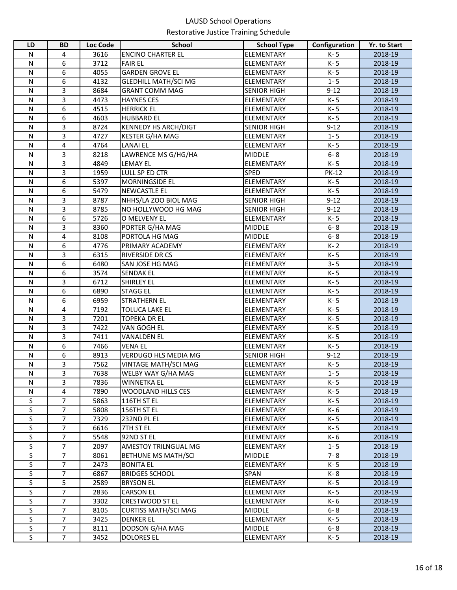| LD                      | <b>BD</b>      | <b>Loc Code</b> | <b>School</b>               | <b>School Type</b> | Configuration | <b>Yr. to Start</b> |
|-------------------------|----------------|-----------------|-----------------------------|--------------------|---------------|---------------------|
| N                       | 4              | 3616            | <b>ENCINO CHARTER EL</b>    | ELEMENTARY         | K-5           | 2018-19             |
| $\mathsf{N}$            | 6              | 3712            | <b>FAIR EL</b>              | ELEMENTARY         | K-5           | 2018-19             |
| N                       | 6              | 4055            | <b>GARDEN GROVE EL</b>      | <b>ELEMENTARY</b>  | K-5           | 2018-19             |
| N                       | 6              | 4132            | <b>GLEDHILL MATH/SCI MG</b> | <b>ELEMENTARY</b>  | $1 - 5$       | 2018-19             |
| N                       | 3              | 8684            | <b>GRANT COMM MAG</b>       | <b>SENIOR HIGH</b> | $9 - 12$      | 2018-19             |
| N                       | 3              | 4473            | <b>HAYNES CES</b>           | <b>ELEMENTARY</b>  | K-5           | 2018-19             |
| N                       | 6              | 4515            | <b>HERRICK EL</b>           | <b>ELEMENTARY</b>  | K-5           | 2018-19             |
| $\mathsf{N}$            | 6              | 4603            | <b>HUBBARD EL</b>           | <b>ELEMENTARY</b>  | K-5           | 2018-19             |
| $\mathsf{N}$            | 3              | 8724            | <b>KENNEDY HS ARCH/DIGT</b> | <b>SENIOR HIGH</b> | $9 - 12$      | 2018-19             |
| $\mathsf{N}$            | 3              | 4727            | <b>KESTER G/HA MAG</b>      | ELEMENTARY         | $1 - 5$       | 2018-19             |
| N                       | 4              | 4764            | <b>LANAI EL</b>             | <b>ELEMENTARY</b>  | K-5           | 2018-19             |
| N                       | 3              | 8218            | LAWRENCE MS G/HG/HA         | <b>MIDDLE</b>      | $6 - 8$       | 2018-19             |
| $\mathsf{N}$            | 3              | 4849            | <b>LEMAY EL</b>             | <b>ELEMENTARY</b>  | K-5           | 2018-19             |
| N                       | 3              | 1959            | LULL SP ED CTR              | <b>SPED</b>        | <b>PK-12</b>  | 2018-19             |
| N                       | 6              | 5397            | <b>MORNINGSIDE EL</b>       | <b>ELEMENTARY</b>  | K-5           | 2018-19             |
| N                       | 6              | 5479            | NEWCASTLE EL                | ELEMENTARY         | K-5           | 2018-19             |
| N                       | 3              | 8787            | NHHS/LA ZOO BIOL MAG        | <b>SENIOR HIGH</b> | $9 - 12$      | 2018-19             |
| N                       | 3              | 8785            | NO HOLLYWOOD HG MAG         | <b>SENIOR HIGH</b> | $9 - 12$      | 2018-19             |
| N                       | 6              | 5726            | O MELVENY EL                | <b>ELEMENTARY</b>  | K-5           | 2018-19             |
| $\mathsf{N}$            | 3              | 8360            | PORTER G/HA MAG             | <b>MIDDLE</b>      | $6 - 8$       | 2018-19             |
| $\mathsf{N}$            | 4              | 8108            | PORTOLA HG MAG              | <b>MIDDLE</b>      | $6 - 8$       | 2018-19             |
| $\mathsf{N}$            | 6              | 4776            | PRIMARY ACADEMY             | ELEMENTARY         | $K - 2$       | 2018-19             |
| $\mathsf{N}$            | 3              | 6315            | RIVERSIDE DR CS             | ELEMENTARY         | K-5           | 2018-19             |
| N                       | 6              | 6480            | SAN JOSE HG MAG             | ELEMENTARY         | $3 - 5$       | 2018-19             |
| $\mathsf{N}$            | 6              | 3574            | <b>SENDAK EL</b>            | ELEMENTARY         | K-5           | 2018-19             |
| $\mathsf{N}$            | $\overline{3}$ | 6712            | <b>SHIRLEY EL</b>           | ELEMENTARY         | K-5           | 2018-19             |
| $\mathsf{N}$            | 6              | 6890            | <b>STAGG EL</b>             | ELEMENTARY         | K-5           | 2018-19             |
| $\mathsf{N}$            | 6              | 6959            | <b>STRATHERN EL</b>         | ELEMENTARY         | K-5           | 2018-19             |
| $\mathsf{N}$            | 4              | 7192            | <b>TOLUCA LAKE EL</b>       | ELEMENTARY         | K-5           | 2018-19             |
| N                       | 3              | 7201            | <b>TOPEKA DR EL</b>         | <b>ELEMENTARY</b>  | K-5           | 2018-19             |
| N                       | 3              | 7422            | VAN GOGH EL                 | ELEMENTARY         | K-5           | 2018-19             |
| N                       | 3              | 7411            | <b>VANALDEN EL</b>          | <b>ELEMENTARY</b>  | K-5           | 2018-19             |
| $\mathsf{N}$            | 6              | 7466            | <b>VENA EL</b>              | <b>ELEMENTARY</b>  | K-5           | 2018-19             |
| $\mathsf{N}$            | 6              | 8913            | <b>VERDUGO HLS MEDIA MG</b> | <b>SENIOR HIGH</b> | $9 - 12$      | 2018-19             |
| N                       | 3              | 7562            | VINTAGE MATH/SCI MAG        | <b>ELEMENTARY</b>  | K-5           | 2018-19             |
| $\mathsf{N}$            | 3              | 7638            | WELBY WAY G/HA MAG          | <b>ELEMENTARY</b>  | $1 - 5$       | 2018-19             |
| N                       | 3              | 7836            | <b>WINNETKA EL</b>          | <b>ELEMENTARY</b>  | K- 5          | 2018-19             |
| N                       | 4              | 7890            | WOODLAND HILLS CES          | <b>ELEMENTARY</b>  | K- 5          | 2018-19             |
| S                       | $\overline{7}$ | 5863            | 116TH ST EL                 | <b>ELEMENTARY</b>  | K-5           | 2018-19             |
| S                       | $\overline{7}$ | 5808            | 156TH ST EL                 | <b>ELEMENTARY</b>  | K- 6          | 2018-19             |
| S                       | $\overline{7}$ | 7329            | 232ND PL EL                 | <b>ELEMENTARY</b>  | K-5           | 2018-19             |
| S                       | $\overline{7}$ | 6616            | 7TH ST EL                   | <b>ELEMENTARY</b>  | K-5           | 2018-19             |
| S                       | 7              | 5548            | 92ND ST EL                  | <b>ELEMENTARY</b>  | K-6           | 2018-19             |
| S                       | 7              | 2097            | AMESTOY TRILNGUAL MG        | <b>ELEMENTARY</b>  | $1 - 5$       | 2018-19             |
| S                       | $\overline{7}$ | 8061            | BETHUNE MS MATH/SCI         | <b>MIDDLE</b>      | $7 - 8$       | 2018-19             |
| S                       | $\overline{7}$ | 2473            | <b>BONITA EL</b>            | <b>ELEMENTARY</b>  | K-5           | 2018-19             |
| S                       | 7              | 6867            | <b>BRIDGES SCHOOL</b>       | SPAN               | K- 8          | 2018-19             |
| S                       | 5              | 2589            | <b>BRYSON EL</b>            | ELEMENTARY         | K-5           | 2018-19             |
| S                       | $\overline{7}$ | 2836            | <b>CARSON EL</b>            | <b>ELEMENTARY</b>  | K- 5          | 2018-19             |
| S                       | 7              | 3302            | <b>CRESTWOOD ST EL</b>      | ELEMENTARY         | K- 6          | 2018-19             |
| $\overline{\mathsf{S}}$ | $\overline{7}$ | 8105            | <b>CURTISS MATH/SCI MAG</b> | <b>MIDDLE</b>      | $6 - 8$       | 2018-19             |
| S                       | $\overline{7}$ | 3425            | <b>DENKER EL</b>            | <b>ELEMENTARY</b>  | K-5           | 2018-19             |
| S                       | $\overline{7}$ | 8111            | DODSON G/HA MAG             | <b>MIDDLE</b>      | $6 - 8$       | 2018-19             |
| S                       | $\overline{7}$ | 3452            | <b>DOLORES EL</b>           | ELEMENTARY         | K-5           | 2018-19             |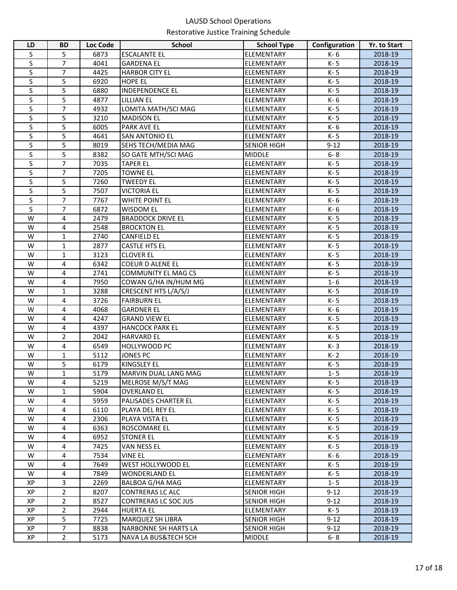| LD                      | <b>BD</b>         | Loc Code     | <b>School</b>                   | <b>School Type</b>       | Configuration | <b>Yr. to Start</b> |
|-------------------------|-------------------|--------------|---------------------------------|--------------------------|---------------|---------------------|
| S                       | 5                 | 6873         | <b>ESCALANTE EL</b>             | ELEMENTARY               | K- 6          | 2018-19             |
| S                       | $\overline{7}$    | 4041         | <b>GARDENA EL</b>               | ELEMENTARY               | K-5           | 2018-19             |
| S                       | 7                 | 4425         | <b>HARBOR CITY EL</b>           | ELEMENTARY               | K-5           | 2018-19             |
| S                       | 5                 | 6920         | <b>HOPE EL</b>                  | ELEMENTARY               | K-5           | 2018-19             |
| S                       | 5                 | 6880         | <b>INDEPENDENCE EL</b>          | ELEMENTARY               | K-5           | 2018-19             |
| S                       | 5                 | 4877         | <b>LILLIAN EL</b>               | ELEMENTARY               | K-6           | 2018-19             |
| S                       | 7                 | 4932         | LOMITA MATH/SCI MAG             | ELEMENTARY               | K-5           | 2018-19             |
| S                       | 5                 | 3210         | <b>MADISON EL</b>               | ELEMENTARY               | K-5           | 2018-19             |
| S                       | 5                 | 6005         | <b>PARK AVE EL</b>              | ELEMENTARY               | K-6           | 2018-19             |
| S                       | 5                 | 4641         | <b>SAN ANTONIO EL</b>           | ELEMENTARY               | K-5           | 2018-19             |
| S                       | 5                 | 8019         | SEHS TECH/MEDIA MAG             | <b>SENIOR HIGH</b>       | $9 - 12$      | 2018-19             |
| S                       | 5                 | 8382         | SO GATE MTH/SCI MAG             | <b>MIDDLE</b>            | $6 - 8$       | 2018-19             |
| S                       | $\overline{7}$    | 7035         | <b>TAPER EL</b>                 | ELEMENTARY               | K-5           | 2018-19             |
| S                       | 7                 | 7205         | <b>TOWNE EL</b>                 | ELEMENTARY               | K-5           | 2018-19             |
| S                       | 5                 | 7260         | <b>TWEEDY EL</b>                | ELEMENTARY               | K-5           | 2018-19             |
| S                       | 5                 | 7507         | <b>VICTORIA EL</b>              | ELEMENTARY               | K-5           | 2018-19             |
| S                       | 7                 | 7767         | WHITE POINT EL                  | ELEMENTARY               | K-6           | 2018-19             |
| S                       | 7                 | 6872         | <b>WISDOM EL</b>                | ELEMENTARY               | K-6           | 2018-19             |
| W                       | 4                 | 2479         | <b>BRADDOCK DRIVE EL</b>        | ELEMENTARY               | K-5           | 2018-19             |
| W                       | 4                 | 2548         | <b>BROCKTON EL</b>              | ELEMENTARY               | K-5           | 2018-19             |
| W                       | 1                 | 2740         | <b>CANFIELD EL</b>              | ELEMENTARY               | K-5           | 2018-19             |
| W                       | 1                 | 2877         | <b>CASTLE HTS EL</b>            | ELEMENTARY               | K-5           | 2018-19             |
| W                       | 1                 | 3123         | <b>CLOVER EL</b>                | ELEMENTARY               | K-5           | 2018-19             |
| W                       | 4                 | 6342         | <b>COEUR D ALENE EL</b>         | ELEMENTARY               | K-5           | 2018-19             |
| W                       | 4                 | 2741         | <b>COMMUNITY EL MAG CS</b>      | ELEMENTARY               | K-5           | 2018-19             |
| W                       | 4                 | 7950         | COWAN G/HA IN/HUM MG            | ELEMENTARY               | $1 - 6$       | 2018-19             |
| W                       | $\mathbf{1}$      | 3288         | CRESCENT HTS L/A/S/J            | ELEMENTARY               | K-5           | 2018-19             |
| W                       | 4                 | 3726         | <b>FAIRBURN EL</b>              | ELEMENTARY               | K-5           | 2018-19             |
| W                       | 4                 | 4068         | <b>GARDNER EL</b>               | ELEMENTARY               | K-6           | 2018-19             |
| W                       | 4                 | 4247         | <b>GRAND VIEW EL</b>            | ELEMENTARY               | K-5           | 2018-19             |
| W                       | 4                 | 4397         | <b>HANCOCK PARK EL</b>          | ELEMENTARY               | K-5           | 2018-19             |
| W<br>W                  | $\overline{2}$    | 2042         | <b>HARVARD EL</b>               | ELEMENTARY<br>ELEMENTARY | K-5           | 2018-19             |
| W                       | 4<br>$\mathbf{1}$ | 6549<br>5112 | HOLLYWOOD PC<br><b>JONES PC</b> | ELEMENTARY               | K-3<br>K-2    | 2018-19<br>2018-19  |
| W                       | 5                 | 6179         | <b>KINGSLEY EL</b>              | ELEMENTARY               | K-5           | 2018-19             |
| $\overline{\mathsf{W}}$ | $\mathbf 1$       | 5179         | MARVIN DUAL LANG MAG            | ELEMENTARY               | $1 - 5$       | 2018-19             |
| W                       | 4                 | 5219         | MELROSE M/S/T MAG               | ELEMENTARY               | K-5           | 2018-19             |
| W                       | $\mathbf{1}$      | 5904         | <b>OVERLAND EL</b>              | ELEMENTARY               | K- 5          | 2018-19             |
| W                       | 4                 | 5959         | <b>PALISADES CHARTER EL</b>     | ELEMENTARY               | K-5           | 2018-19             |
| W                       | 4                 | 6110         | PLAYA DEL REY EL                | ELEMENTARY               | K- 5          | 2018-19             |
| W                       | 4                 | 2306         | PLAYA VISTA EL                  | ELEMENTARY               | K- 5          | 2018-19             |
| W                       | 4                 | 6363         | ROSCOMARE EL                    | ELEMENTARY               | K- 5          | 2018-19             |
| W                       | 4                 | 6952         | <b>STONER EL</b>                | ELEMENTARY               | K- 5          | 2018-19             |
| W                       | 4                 | 7425         | <b>VAN NESS EL</b>              | ELEMENTARY               | K-5           | 2018-19             |
| W                       | 4                 | 7534         | VINE EL                         | ELEMENTARY               | K- 6          | 2018-19             |
| W                       | 4                 | 7649         | WEST HOLLYWOOD EL               | ELEMENTARY               | K- 5          | 2018-19             |
| W                       | 4                 | 7849         | <b>WONDERLAND EL</b>            | ELEMENTARY               | K- 5          | 2018-19             |
| XP                      | 3                 | 2269         | BALBOA G/HA MAG                 | ELEMENTARY               | $1 - 5$       | 2018-19             |
| XP                      | $\overline{2}$    | 8207         | <b>CONTRERAS LC ALC</b>         | SENIOR HIGH              | $9 - 12$      | 2018-19             |
| XP                      | $\overline{2}$    | 8527         | <b>CONTRERAS LC SOC JUS</b>     | <b>SENIOR HIGH</b>       | $9 - 12$      | 2018-19             |
| XP                      | $\overline{2}$    | 2944         | <b>HUERTA EL</b>                | ELEMENTARY               | K-5           | 2018-19             |
| XP                      | 5                 | 7725         | MARQUEZ SH LIBRA                | <b>SENIOR HIGH</b>       | $9 - 12$      | 2018-19             |
| XP                      | $\overline{7}$    | 8838         | NARBONNE SH HARTS LA            | <b>SENIOR HIGH</b>       | $9 - 12$      | 2018-19             |
| XP                      | $\overline{2}$    | 5173         | <b>NAVA LA BUS&amp;TECH SCH</b> | <b>MIDDLE</b>            | $6 - 8$       | 2018-19             |